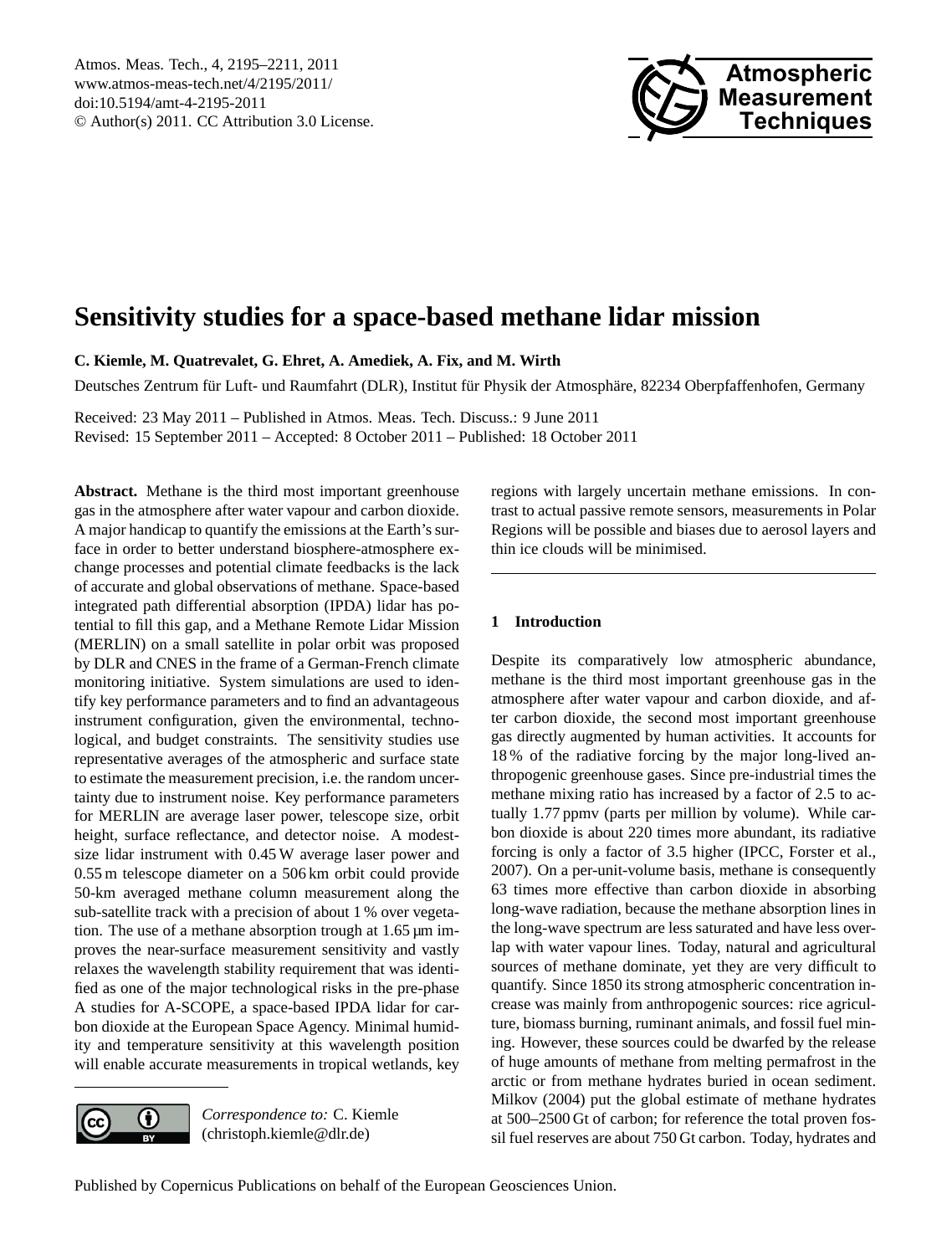

# <span id="page-0-0"></span>**Sensitivity studies for a space-based methane lidar mission**

**C. Kiemle, M. Quatrevalet, G. Ehret, A. Amediek, A. Fix, and M. Wirth**

Deutsches Zentrum für Luft- und Raumfahrt (DLR), Institut für Physik der Atmosphäre, 82234 Oberpfaffenhofen, Germany

Received: 23 May 2011 – Published in Atmos. Meas. Tech. Discuss.: 9 June 2011 Revised: 15 September 2011 – Accepted: 8 October 2011 – Published: 18 October 2011

**Abstract.** Methane is the third most important greenhouse gas in the atmosphere after water vapour and carbon dioxide. A major handicap to quantify the emissions at the Earth's surface in order to better understand biosphere-atmosphere exchange processes and potential climate feedbacks is the lack of accurate and global observations of methane. Space-based integrated path differential absorption (IPDA) lidar has potential to fill this gap, and a Methane Remote Lidar Mission (MERLIN) on a small satellite in polar orbit was proposed by DLR and CNES in the frame of a German-French climate monitoring initiative. System simulations are used to identify key performance parameters and to find an advantageous instrument configuration, given the environmental, technological, and budget constraints. The sensitivity studies use representative averages of the atmospheric and surface state to estimate the measurement precision, i.e. the random uncertainty due to instrument noise. Key performance parameters for MERLIN are average laser power, telescope size, orbit height, surface reflectance, and detector noise. A modestsize lidar instrument with 0.45 W average laser power and 0.55 m telescope diameter on a 506 km orbit could provide 50-km averaged methane column measurement along the sub-satellite track with a precision of about 1 % over vegetation. The use of a methane absorption trough at 1.65 µm improves the near-surface measurement sensitivity and vastly relaxes the wavelength stability requirement that was identified as one of the major technological risks in the pre-phase A studies for A-SCOPE, a space-based IPDA lidar for carbon dioxide at the European Space Agency. Minimal humidity and temperature sensitivity at this wavelength position will enable accurate measurements in tropical wetlands, key



*Correspondence to:* C. Kiemle (christoph.kiemle@dlr.de)

regions with largely uncertain methane emissions. In contrast to actual passive remote sensors, measurements in Polar Regions will be possible and biases due to aerosol layers and thin ice clouds will be minimised.

# **1 Introduction**

Despite its comparatively low atmospheric abundance, methane is the third most important greenhouse gas in the atmosphere after water vapour and carbon dioxide, and after carbon dioxide, the second most important greenhouse gas directly augmented by human activities. It accounts for 18 % of the radiative forcing by the major long-lived anthropogenic greenhouse gases. Since pre-industrial times the methane mixing ratio has increased by a factor of 2.5 to actually 1.77 ppmv (parts per million by volume). While carbon dioxide is about 220 times more abundant, its radiative forcing is only a factor of 3.5 higher (IPCC, Forster et al., 2007). On a per-unit-volume basis, methane is consequently 63 times more effective than carbon dioxide in absorbing long-wave radiation, because the methane absorption lines in the long-wave spectrum are less saturated and have less overlap with water vapour lines. Today, natural and agricultural sources of methane dominate, yet they are very difficult to quantify. Since 1850 its strong atmospheric concentration increase was mainly from anthropogenic sources: rice agriculture, biomass burning, ruminant animals, and fossil fuel mining. However, these sources could be dwarfed by the release of huge amounts of methane from melting permafrost in the arctic or from methane hydrates buried in ocean sediment. Milkov (2004) put the global estimate of methane hydrates at 500–2500 Gt of carbon; for reference the total proven fossil fuel reserves are about 750 Gt carbon. Today, hydrates and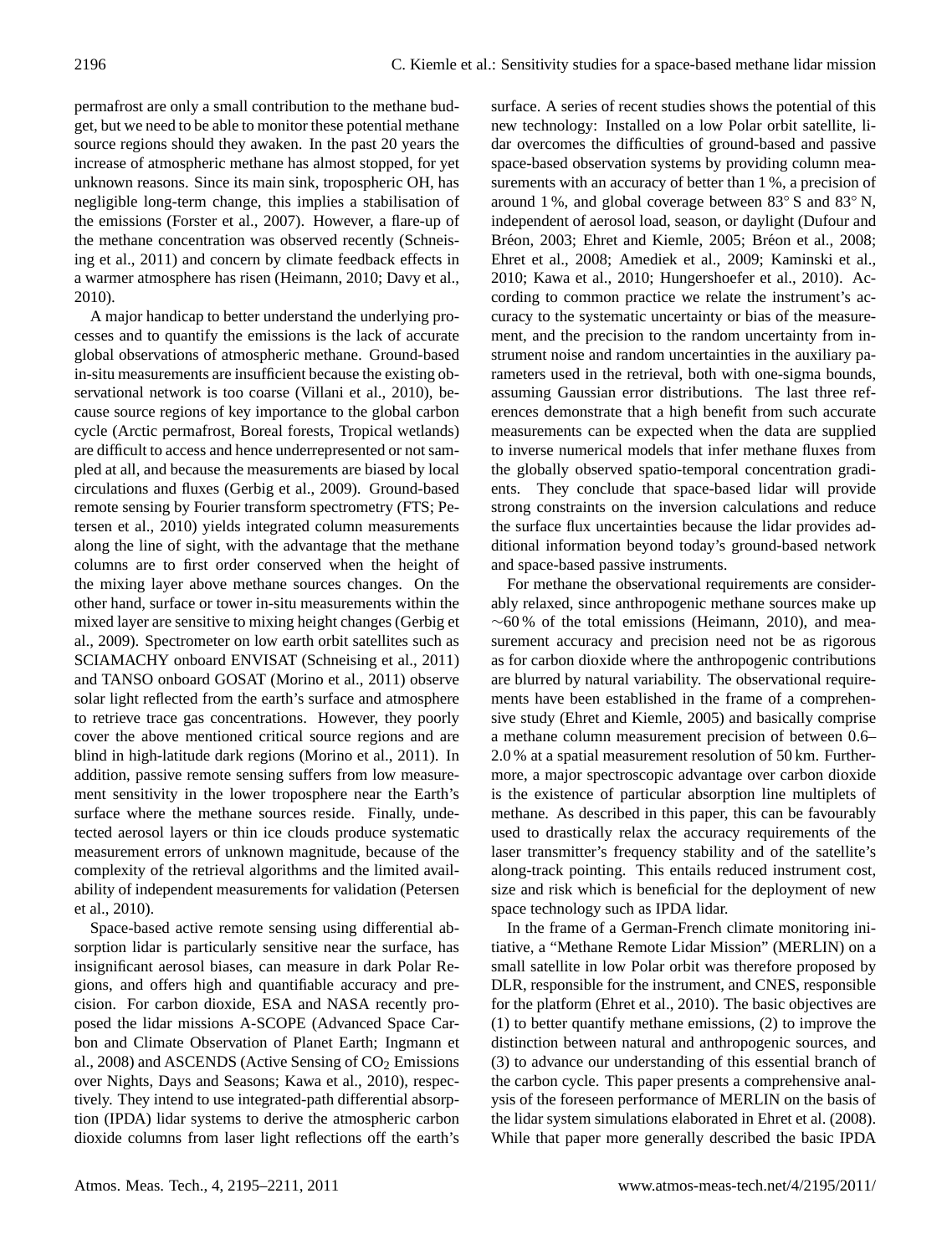permafrost are only a small contribution to the methane budget, but we need to be able to monitor these potential methane source regions should they awaken. In the past 20 years the increase of atmospheric methane has almost stopped, for yet unknown reasons. Since its main sink, tropospheric OH, has negligible long-term change, this implies a stabilisation of the emissions (Forster et al., 2007). However, a flare-up of the methane concentration was observed recently (Schneising et al., 2011) and concern by climate feedback effects in a warmer atmosphere has risen (Heimann, 2010; Davy et al., 2010).

A major handicap to better understand the underlying processes and to quantify the emissions is the lack of accurate global observations of atmospheric methane. Ground-based in-situ measurements are insufficient because the existing observational network is too coarse (Villani et al., 2010), because source regions of key importance to the global carbon cycle (Arctic permafrost, Boreal forests, Tropical wetlands) are difficult to access and hence underrepresented or not sampled at all, and because the measurements are biased by local circulations and fluxes (Gerbig et al., 2009). Ground-based remote sensing by Fourier transform spectrometry (FTS; Petersen et al., 2010) yields integrated column measurements along the line of sight, with the advantage that the methane columns are to first order conserved when the height of the mixing layer above methane sources changes. On the other hand, surface or tower in-situ measurements within the mixed layer are sensitive to mixing height changes (Gerbig et al., 2009). Spectrometer on low earth orbit satellites such as SCIAMACHY onboard ENVISAT (Schneising et al., 2011) and TANSO onboard GOSAT (Morino et al., 2011) observe solar light reflected from the earth's surface and atmosphere to retrieve trace gas concentrations. However, they poorly cover the above mentioned critical source regions and are blind in high-latitude dark regions (Morino et al., 2011). In addition, passive remote sensing suffers from low measurement sensitivity in the lower troposphere near the Earth's surface where the methane sources reside. Finally, undetected aerosol layers or thin ice clouds produce systematic measurement errors of unknown magnitude, because of the complexity of the retrieval algorithms and the limited availability of independent measurements for validation (Petersen et al., 2010).

Space-based active remote sensing using differential absorption lidar is particularly sensitive near the surface, has insignificant aerosol biases, can measure in dark Polar Regions, and offers high and quantifiable accuracy and precision. For carbon dioxide, ESA and NASA recently proposed the lidar missions A-SCOPE (Advanced Space Carbon and Climate Observation of Planet Earth; Ingmann et al., 2008) and ASCENDS (Active Sensing of  $CO<sub>2</sub>$  Emissions over Nights, Days and Seasons; Kawa et al., 2010), respectively. They intend to use integrated-path differential absorption (IPDA) lidar systems to derive the atmospheric carbon dioxide columns from laser light reflections off the earth's surface. A series of recent studies shows the potential of this new technology: Installed on a low Polar orbit satellite, lidar overcomes the difficulties of ground-based and passive space-based observation systems by providing column measurements with an accuracy of better than 1 %, a precision of around 1 %, and global coverage between 83◦ S and 83◦ N, independent of aerosol load, season, or daylight (Dufour and Bréon, 2003; Ehret and Kiemle, 2005; Bréon et al., 2008; Ehret et al., 2008; Amediek et al., 2009; Kaminski et al., 2010; Kawa et al., 2010; Hungershoefer et al., 2010). According to common practice we relate the instrument's accuracy to the systematic uncertainty or bias of the measurement, and the precision to the random uncertainty from instrument noise and random uncertainties in the auxiliary parameters used in the retrieval, both with one-sigma bounds, assuming Gaussian error distributions. The last three references demonstrate that a high benefit from such accurate measurements can be expected when the data are supplied to inverse numerical models that infer methane fluxes from the globally observed spatio-temporal concentration gradients. They conclude that space-based lidar will provide strong constraints on the inversion calculations and reduce the surface flux uncertainties because the lidar provides additional information beyond today's ground-based network and space-based passive instruments.

For methane the observational requirements are considerably relaxed, since anthropogenic methane sources make up  $~\sim$ 60% of the total emissions (Heimann, 2010), and measurement accuracy and precision need not be as rigorous as for carbon dioxide where the anthropogenic contributions are blurred by natural variability. The observational requirements have been established in the frame of a comprehensive study (Ehret and Kiemle, 2005) and basically comprise a methane column measurement precision of between 0.6– 2.0 % at a spatial measurement resolution of 50 km. Furthermore, a major spectroscopic advantage over carbon dioxide is the existence of particular absorption line multiplets of methane. As described in this paper, this can be favourably used to drastically relax the accuracy requirements of the laser transmitter's frequency stability and of the satellite's along-track pointing. This entails reduced instrument cost, size and risk which is beneficial for the deployment of new space technology such as IPDA lidar.

In the frame of a German-French climate monitoring initiative, a "Methane Remote Lidar Mission" (MERLIN) on a small satellite in low Polar orbit was therefore proposed by DLR, responsible for the instrument, and CNES, responsible for the platform (Ehret et al., 2010). The basic objectives are (1) to better quantify methane emissions, (2) to improve the distinction between natural and anthropogenic sources, and (3) to advance our understanding of this essential branch of the carbon cycle. This paper presents a comprehensive analysis of the foreseen performance of MERLIN on the basis of the lidar system simulations elaborated in Ehret et al. (2008). While that paper more generally described the basic IPDA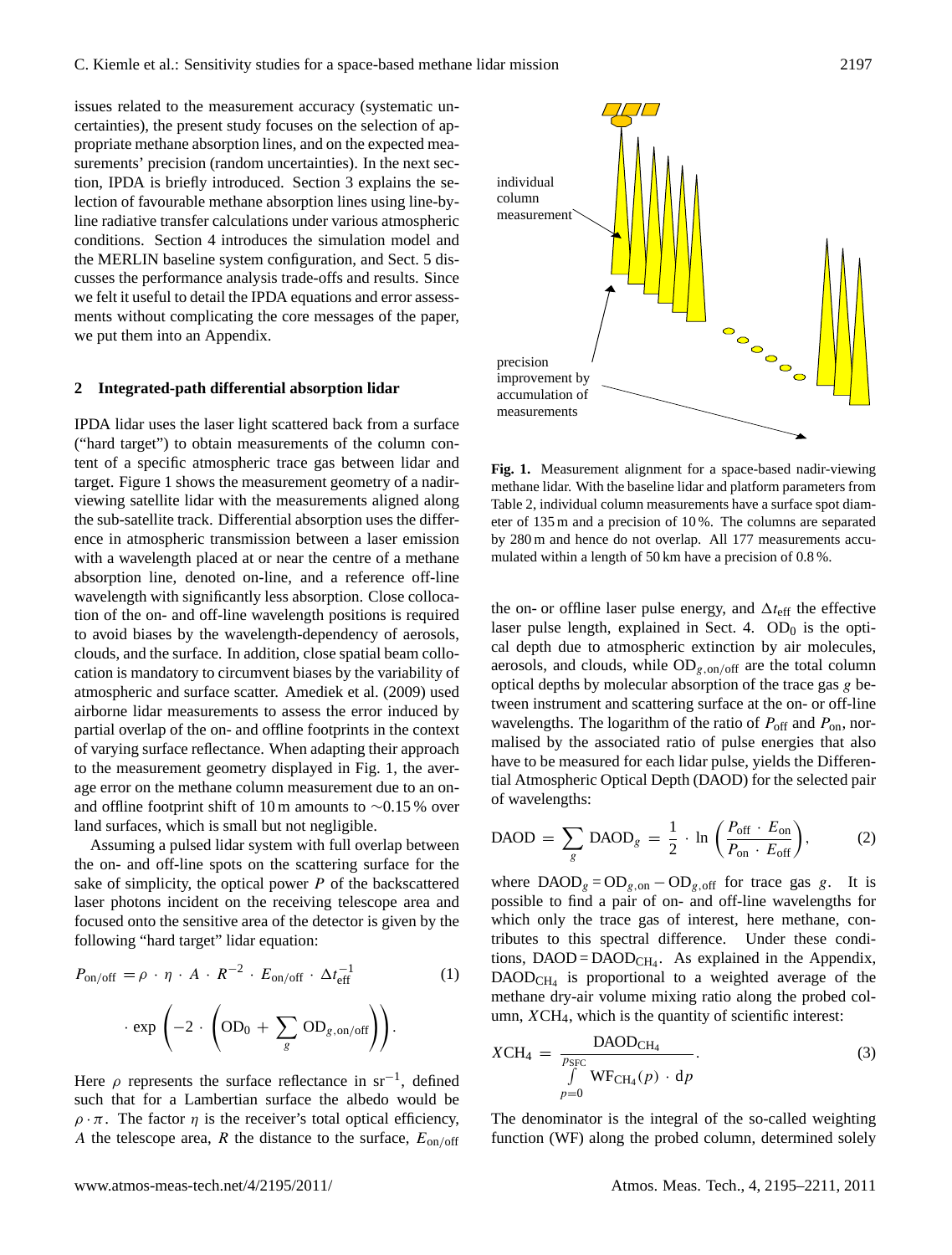issues related to the measurement accuracy (systematic uncertainties), the present study focuses on the selection of appropriate methane absorption lines, and on the expected measurements' precision (random uncertainties). In the next section, IPDA is briefly introduced. Section 3 explains the selection of favourable methane absorption lines using line-byline radiative transfer calculations under various atmospheric conditions. Section 4 introduces the simulation model and the MERLIN baseline system configuration, and Sect. 5 discusses the performance analysis trade-offs and results. Since we felt it useful to detail the IPDA equations and error assessments without complicating the core messages of the paper, we put them into an Appendix.

#### **2 Integrated-path differential absorption lidar**

IPDA lidar uses the laser light scattered back from a surface ("hard target") to obtain measurements of the column content of a specific atmospheric trace gas between lidar and target. Figure 1 shows the measurement geometry of a nadirviewing satellite lidar with the measurements aligned along the sub-satellite track. Differential absorption uses the difference in atmospheric transmission between a laser emission with a wavelength placed at or near the centre of a methane absorption line, denoted on-line, and a reference off-line wavelength with significantly less absorption. Close collocation of the on- and off-line wavelength positions is required to avoid biases by the wavelength-dependency of aerosols, clouds, and the surface. In addition, close spatial beam collocation is mandatory to circumvent biases by the variability of atmospheric and surface scatter. Amediek et al. (2009) used airborne lidar measurements to assess the error induced by partial overlap of the on- and offline footprints in the context of varying surface reflectance. When adapting their approach to the measurement geometry displayed in Fig. 1, the average error on the methane column measurement due to an onand offline footprint shift of 10 m amounts to ∼0.15 % over land surfaces, which is small but not negligible.

Assuming a pulsed lidar system with full overlap between the on- and off-line spots on the scattering surface for the sake of simplicity, the optical power  $P$  of the backscattered laser photons incident on the receiving telescope area and focused onto the sensitive area of the detector is given by the following "hard target" lidar equation:

$$
P_{\text{on}/\text{off}} = \rho \cdot \eta \cdot A \cdot R^{-2} \cdot E_{\text{on}/\text{off}} \cdot \Delta t_{\text{eff}}^{-1}
$$
 (1)  

$$
\cdot \exp\left(-2 \cdot \left(\text{OD}_{0} + \sum_{g} \text{OD}_{g,\text{on}/\text{off}}\right)\right).
$$

Here  $\rho$  represents the surface reflectance in sr<sup>-1</sup>, defined such that for a Lambertian surface the albedo would be  $\rho \cdot \pi$ . The factor  $\eta$  is the receiver's total optical efficiency, A the telescope area, R the distance to the surface,  $E_{\text{on/off}}$ 



**Fig. 1.** Measurement alignment for a space-based nadir-viewing methane lidar. With the baseline lidar and platform parameters from Table 2, individual column measurements have a surface spot diameter of 135 m and a precision of 10 %. The columns are separated by 280 m and hence do not overlap. All 177 measurements accumulated within a length of 50 km have a precision of 0.8 %.

the on- or offline laser pulse energy, and  $\Delta t_{\text{eff}}$  the effective laser pulse length, explained in Sect. 4.  $OD<sub>0</sub>$  is the optical depth due to atmospheric extinction by air molecules, aerosols, and clouds, while  $OD_{g, on/off}$  are the total column optical depths by molecular absorption of the trace gas g between instrument and scattering surface at the on- or off-line wavelengths. The logarithm of the ratio of  $P_{\text{off}}$  and  $P_{\text{on}}$ , normalised by the associated ratio of pulse energies that also have to be measured for each lidar pulse, yields the Differential Atmospheric Optical Depth (DAOD) for the selected pair of wavelengths:

$$
DAOD = \sum_{g} DAOD_{g} = \frac{1}{2} \cdot \ln \left( \frac{P_{\text{off}} \cdot E_{\text{on}}}{P_{\text{on}} \cdot E_{\text{off}}} \right), \tag{2}
$$

where  $\text{DAOD}_g = \text{OD}_{g, \text{on}} - \text{OD}_{g, \text{off}}$  for trace gas g. It is possible to find a pair of on- and off-line wavelengths for which only the trace gas of interest, here methane, contributes to this spectral difference. Under these conditions,  $D AOD = D AOD_{CH_4}$ . As explained in the Appendix,  $D A O D_{CH_4}$  is proportional to a weighted average of the methane dry-air volume mixing ratio along the probed column, XCH4, which is the quantity of scientific interest:

$$
XCH_4 = \frac{\text{DAOD}_{\text{CH}_4}}{\int_{p=0}^{p_{\text{SFC}}} \text{WF}_{\text{CH}_4}(p) \cdot \text{d}p}.
$$
 (3)

The denominator is the integral of the so-called weighting function (WF) along the probed column, determined solely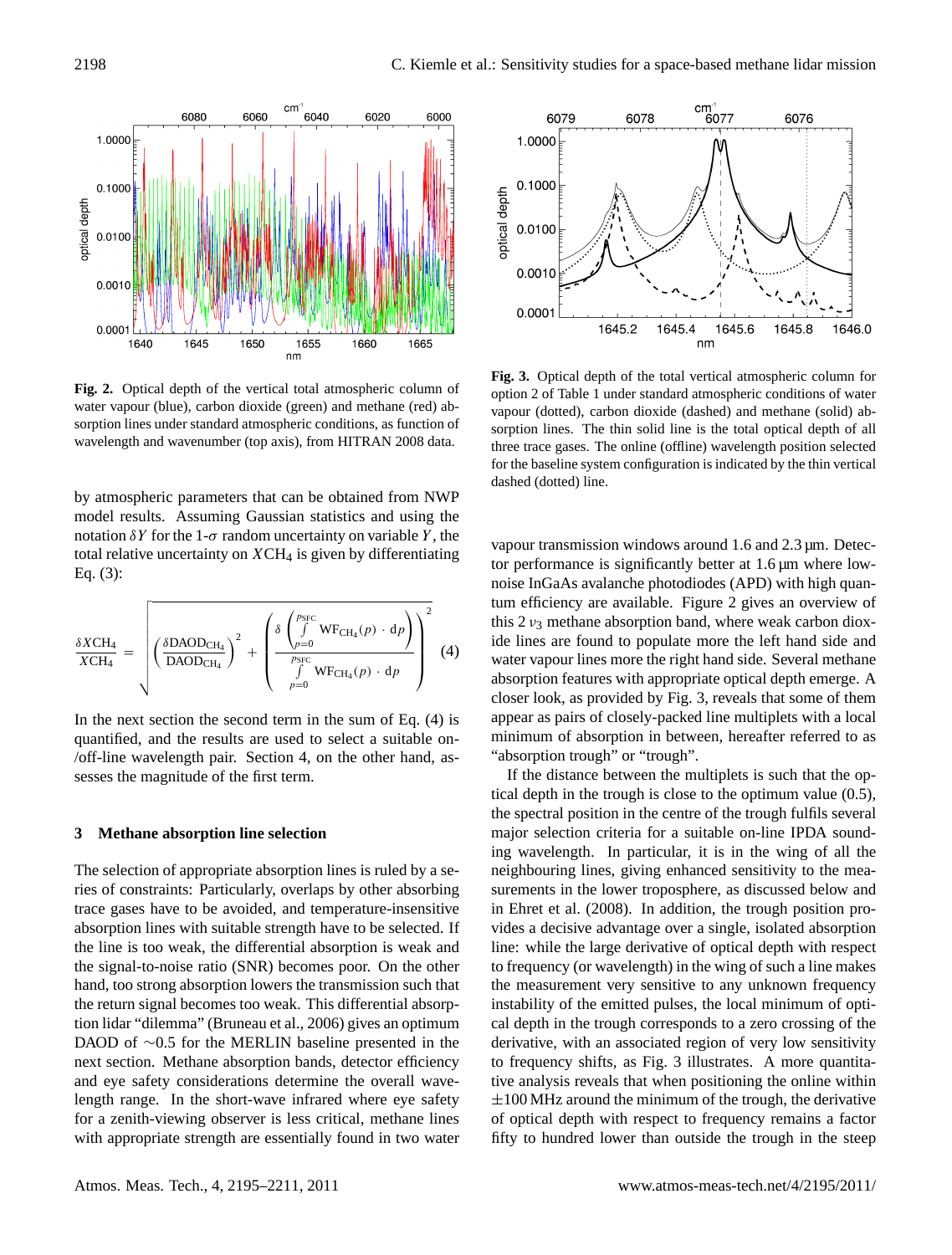

**Fig. 2.** Optical depth of the vertical total atmospheric column of water vapour (blue), carbon dioxide (green) and methane (red) absorption lines under standard atmospheric conditions, as function of wavelength and wavenumber (top axis), from HITRAN 2008 data.

by atmospheric parameters that can be obtained from NWP model results. Assuming Gaussian statistics and using the notation  $\delta Y$  for the 1- $\sigma$  random uncertainty on variable Y, the total relative uncertainty on  $XCH<sub>4</sub>$  is given by differentiating Eq. (3):

$$
\frac{\delta XCH_4}{XCH_4} = \sqrt{\left(\frac{\delta DAOD_{CH_4}}{DAOD_{CH_4}}\right)^2 + \left(\frac{\delta \left(\int_{p=0}^{PSC} WF_{CH_4}(p) \cdot dp\right)}{\int_{p=0}^{PSC} WF_{CH_4}(p) \cdot dp}\right)^2}
$$
(4)

In the next section the second term in the sum of Eq.  $(4)$  is quantified, and the results are used to select a suitable on- /off-line wavelength pair. Section 4, on the other hand, assesses the magnitude of the first term.

#### **3 Methane absorption line selection**

The selection of appropriate absorption lines is ruled by a series of constraints: Particularly, overlaps by other absorbing trace gases have to be avoided, and temperature-insensitive absorption lines with suitable strength have to be selected. If the line is too weak, the differential absorption is weak and the signal-to-noise ratio (SNR) becomes poor. On the other hand, too strong absorption lowers the transmission such that the return signal becomes too weak. This differential absorption lidar "dilemma" (Bruneau et al., 2006) gives an optimum DAOD of ∼0.5 for the MERLIN baseline presented in the next section. Methane absorption bands, detector efficiency and eye safety considerations determine the overall wavelength range. In the short-wave infrared where eye safety for a zenith-viewing observer is less critical, methane lines with appropriate strength are essentially found in two water



**Fig. 3.** Optical depth of the total vertical atmospheric column for option 2 of Table 1 under standard atmospheric conditions of water vapour (dotted), carbon dioxide (dashed) and methane (solid) absorption lines. The thin solid line is the total optical depth of all three trace gases. The online (offline) wavelength position selected for the baseline system configuration is indicated by the thin vertical dashed (dotted) line.

vapour transmission windows around 1.6 and 2.3  $\mu$ m. Detector performance is significantly better at 1.6 µm where lownoise InGaAs avalanche photodiodes (APD) with high quantum efficiency are available. Figure 2 gives an overview of this  $2v_3$  methane absorption band, where weak carbon dioxide lines are found to populate more the left hand side and water vapour lines more the right hand side. Several methane absorption features with appropriate optical depth emerge. A closer look, as provided by Fig. 3, reveals that some of them appear as pairs of closely-packed line multiplets with a local minimum of absorption in between, hereafter referred to as "absorption trough" or "trough".

If the distance between the multiplets is such that the optical depth in the trough is close to the optimum value (0.5), the spectral position in the centre of the trough fulfils several major selection criteria for a suitable on-line IPDA sounding wavelength. In particular, it is in the wing of all the neighbouring lines, giving enhanced sensitivity to the measurements in the lower troposphere, as discussed below and in Ehret et al. (2008). In addition, the trough position provides a decisive advantage over a single, isolated absorption line: while the large derivative of optical depth with respect to frequency (or wavelength) in the wing of such a line makes the measurement very sensitive to any unknown frequency instability of the emitted pulses, the local minimum of optical depth in the trough corresponds to a zero crossing of the derivative, with an associated region of very low sensitivity to frequency shifts, as Fig. 3 illustrates. A more quantitative analysis reveals that when positioning the online within  $\pm 100$  MHz around the minimum of the trough, the derivative of optical depth with respect to frequency remains a factor fifty to hundred lower than outside the trough in the steep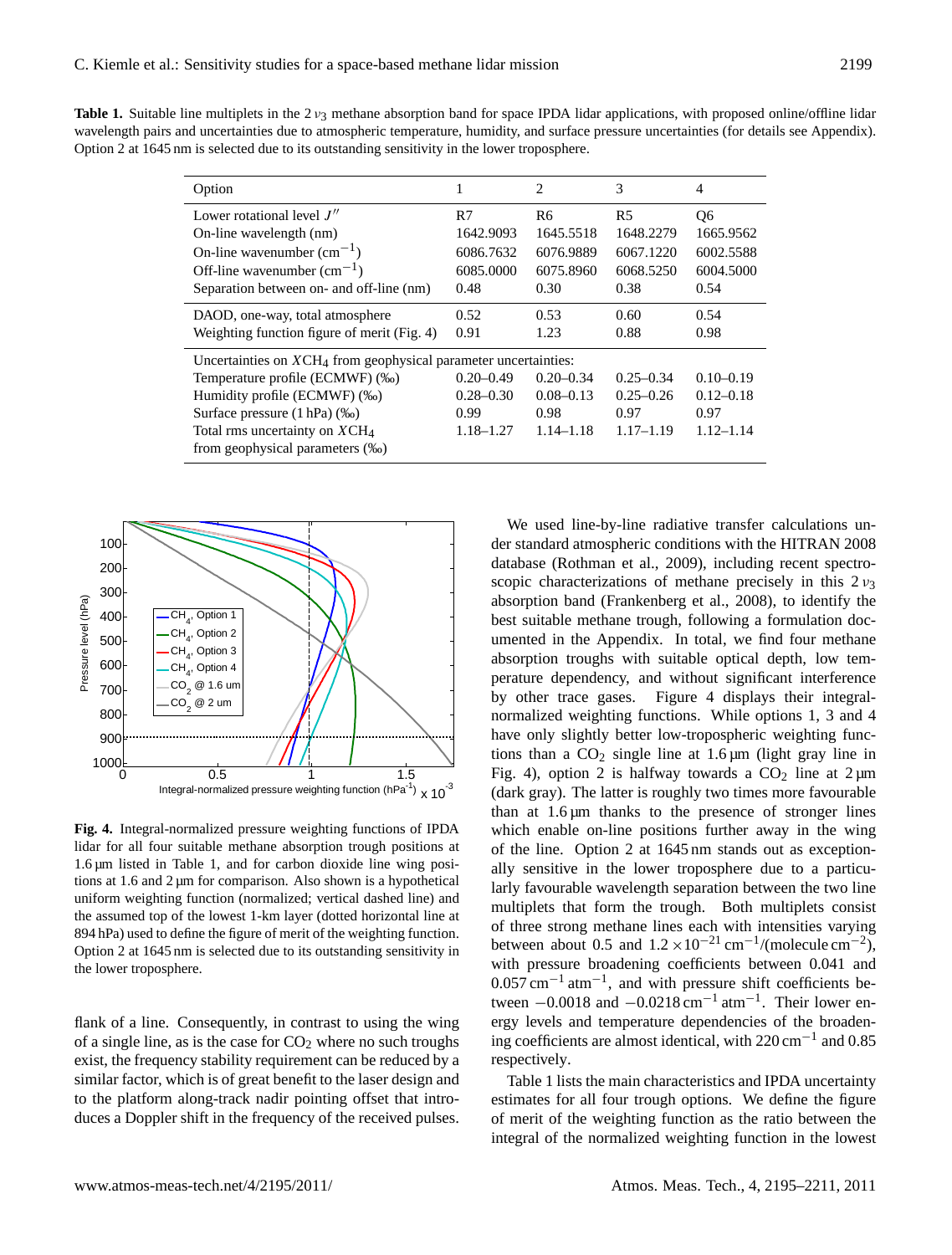| <b>Table 1.</b> Suitable line multiplets in the 2 $\nu_3$ methane absorption band for space IPDA lidar applications, with proposed online/offline lidar |
|---------------------------------------------------------------------------------------------------------------------------------------------------------|
| wavelength pairs and uncertainties due to atmospheric temperature, humidity, and surface pressure uncertainties (for details see Appendix).             |
| Option 2 at 1645 nm is selected due to its outstanding sensitivity in the lower troposphere.                                                            |

|               |               |                                                                                     | $\overline{\mathcal{A}}$ |
|---------------|---------------|-------------------------------------------------------------------------------------|--------------------------|
| R7            | R6            | R <sub>5</sub>                                                                      | <b>O</b> <sub>6</sub>    |
| 1642.9093     | 1645.5518     | 1648.2279                                                                           | 1665.9562                |
| 6086.7632     | 6076.9889     | 6067.1220                                                                           | 6002.5588                |
| 6085,0000     | 6075.8960     | 6068.5250                                                                           | 6004.5000                |
| 0.48          | 0.30          | 0.38                                                                                | 0.54                     |
| 0.52          | 0.53          | 0.60                                                                                | 0.54                     |
| 0.91          | 1.23          | 0.88                                                                                | 0.98                     |
|               |               |                                                                                     |                          |
| $0.20 - 0.49$ | $0.20 - 0.34$ | $0.25 - 0.34$                                                                       | $0.10 - 0.19$            |
| $0.28 - 0.30$ | $0.08 - 0.13$ | $0.25 - 0.26$                                                                       | $0.12 - 0.18$            |
| 0.99          | 0.98          | 0.97                                                                                | 0.97                     |
| 1.18–1.27     | $1.14 - 1.18$ | $1.17 - 1.19$                                                                       | $1.12 - 1.14$            |
|               |               |                                                                                     |                          |
|               |               | $\mathfrak{D}$<br>Uncertainties on $XCH4$ from geophysical parameter uncertainties: | 3                        |



**Fig. 4.** Integral-normalized pressure weighting functions of IPDA lidar for all four suitable methane absorption trough positions at  $1.6 \mu m$  listed in Table 1, and for carbon dioxide line wing positions at 1.6 and 2 µm for comparison. Also shown is a hypothetical uniform weighting function (normalized; vertical dashed line) and the assumed top of the lowest 1-km layer (dotted horizontal line at 894 hPa) used to define the figure of merit of the weighting function. Option 2 at 1645 nm is selected due to its outstanding sensitivity in the lower troposphere.

flank of a line. Consequently, in contrast to using the wing of a single line, as is the case for  $CO<sub>2</sub>$  where no such troughs exist, the frequency stability requirement can be reduced by a similar factor, which is of great benefit to the laser design and to the platform along-track nadir pointing offset that introduces a Doppler shift in the frequency of the received pulses.

We used line-by-line radiative transfer calculations under standard atmospheric conditions with the HITRAN 2008 database (Rothman et al., 2009), including recent spectroscopic characterizations of methane precisely in this  $2\nu_3$ absorption band (Frankenberg et al., 2008), to identify the best suitable methane trough, following a formulation documented in the Appendix. In total, we find four methane absorption troughs with suitable optical depth, low temperature dependency, and without significant interference by other trace gases. Figure 4 displays their integralnormalized weighting functions. While options 1, 3 and 4 have only slightly better low-tropospheric weighting functions than a  $CO<sub>2</sub>$  single line at 1.6  $\mu$ m (light gray line in Fig. 4), option 2 is halfway towards a  $CO<sub>2</sub>$  line at  $2 \mu m$ (dark gray). The latter is roughly two times more favourable than at  $1.6 \mu m$  thanks to the presence of stronger lines which enable on-line positions further away in the wing of the line. Option 2 at 1645 nm stands out as exceptionally sensitive in the lower troposphere due to a particularly favourable wavelength separation between the two line multiplets that form the trough. Both multiplets consist of three strong methane lines each with intensities varying between about 0.5 and  $1.2 \times 10^{-21}$  cm<sup>-1</sup>/(molecule cm<sup>-2</sup>), with pressure broadening coefficients between 0.041 and 0.057 cm<sup>-1</sup> atm<sup>-1</sup>, and with pressure shift coefficients between  $-0.0018$  and  $-0.0218$  cm<sup>-1</sup> atm<sup>-1</sup>. Their lower energy levels and temperature dependencies of the broadening coefficients are almost identical, with 220 cm−<sup>1</sup> and 0.85 respectively.

Table 1 lists the main characteristics and IPDA uncertainty estimates for all four trough options. We define the figure of merit of the weighting function as the ratio between the integral of the normalized weighting function in the lowest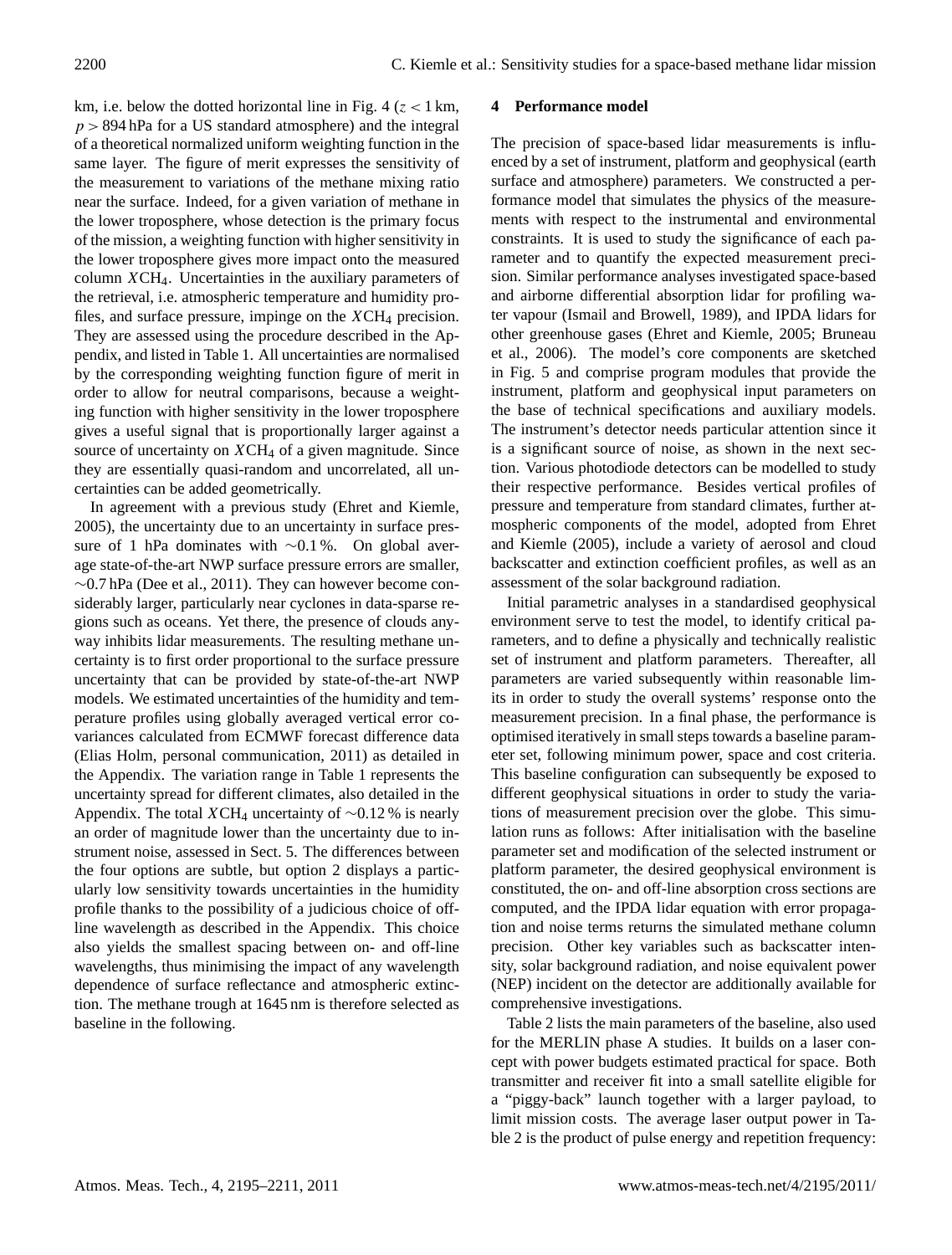km, i.e. below the dotted horizontal line in Fig.  $4 (z < 1 \text{ km})$ ,  $p > 894$  hPa for a US standard atmosphere) and the integral of a theoretical normalized uniform weighting function in the same layer. The figure of merit expresses the sensitivity of the measurement to variations of the methane mixing ratio near the surface. Indeed, for a given variation of methane in the lower troposphere, whose detection is the primary focus of the mission, a weighting function with higher sensitivity in the lower troposphere gives more impact onto the measured column XCH4. Uncertainties in the auxiliary parameters of the retrieval, i.e. atmospheric temperature and humidity profiles, and surface pressure, impinge on the  $XCH<sub>4</sub>$  precision. They are assessed using the procedure described in the Appendix, and listed in Table 1. All uncertainties are normalised by the corresponding weighting function figure of merit in order to allow for neutral comparisons, because a weighting function with higher sensitivity in the lower troposphere gives a useful signal that is proportionally larger against a source of uncertainty on  $XCH<sub>4</sub>$  of a given magnitude. Since they are essentially quasi-random and uncorrelated, all uncertainties can be added geometrically.

In agreement with a previous study (Ehret and Kiemle, 2005), the uncertainty due to an uncertainty in surface pressure of 1 hPa dominates with ∼0.1%. On global average state-of-the-art NWP surface pressure errors are smaller, ∼0.7 hPa (Dee et al., 2011). They can however become considerably larger, particularly near cyclones in data-sparse regions such as oceans. Yet there, the presence of clouds anyway inhibits lidar measurements. The resulting methane uncertainty is to first order proportional to the surface pressure uncertainty that can be provided by state-of-the-art NWP models. We estimated uncertainties of the humidity and temperature profiles using globally averaged vertical error covariances calculated from ECMWF forecast difference data (Elias Holm, personal communication, 2011) as detailed in the Appendix. The variation range in Table 1 represents the uncertainty spread for different climates, also detailed in the Appendix. The total  $XCH_4$  uncertainty of ∼0.12 % is nearly an order of magnitude lower than the uncertainty due to instrument noise, assessed in Sect. 5. The differences between the four options are subtle, but option 2 displays a particularly low sensitivity towards uncertainties in the humidity profile thanks to the possibility of a judicious choice of offline wavelength as described in the Appendix. This choice also yields the smallest spacing between on- and off-line wavelengths, thus minimising the impact of any wavelength dependence of surface reflectance and atmospheric extinction. The methane trough at 1645 nm is therefore selected as baseline in the following.

## **4 Performance model**

The precision of space-based lidar measurements is influenced by a set of instrument, platform and geophysical (earth surface and atmosphere) parameters. We constructed a performance model that simulates the physics of the measurements with respect to the instrumental and environmental constraints. It is used to study the significance of each parameter and to quantify the expected measurement precision. Similar performance analyses investigated space-based and airborne differential absorption lidar for profiling water vapour (Ismail and Browell, 1989), and IPDA lidars for other greenhouse gases (Ehret and Kiemle, 2005; Bruneau et al., 2006). The model's core components are sketched in Fig. 5 and comprise program modules that provide the instrument, platform and geophysical input parameters on the base of technical specifications and auxiliary models. The instrument's detector needs particular attention since it is a significant source of noise, as shown in the next section. Various photodiode detectors can be modelled to study their respective performance. Besides vertical profiles of pressure and temperature from standard climates, further atmospheric components of the model, adopted from Ehret and Kiemle (2005), include a variety of aerosol and cloud backscatter and extinction coefficient profiles, as well as an assessment of the solar background radiation.

Initial parametric analyses in a standardised geophysical environment serve to test the model, to identify critical parameters, and to define a physically and technically realistic set of instrument and platform parameters. Thereafter, all parameters are varied subsequently within reasonable limits in order to study the overall systems' response onto the measurement precision. In a final phase, the performance is optimised iteratively in small steps towards a baseline parameter set, following minimum power, space and cost criteria. This baseline configuration can subsequently be exposed to different geophysical situations in order to study the variations of measurement precision over the globe. This simulation runs as follows: After initialisation with the baseline parameter set and modification of the selected instrument or platform parameter, the desired geophysical environment is constituted, the on- and off-line absorption cross sections are computed, and the IPDA lidar equation with error propagation and noise terms returns the simulated methane column precision. Other key variables such as backscatter intensity, solar background radiation, and noise equivalent power (NEP) incident on the detector are additionally available for comprehensive investigations.

Table 2 lists the main parameters of the baseline, also used for the MERLIN phase A studies. It builds on a laser concept with power budgets estimated practical for space. Both transmitter and receiver fit into a small satellite eligible for a "piggy-back" launch together with a larger payload, to limit mission costs. The average laser output power in Table 2 is the product of pulse energy and repetition frequency: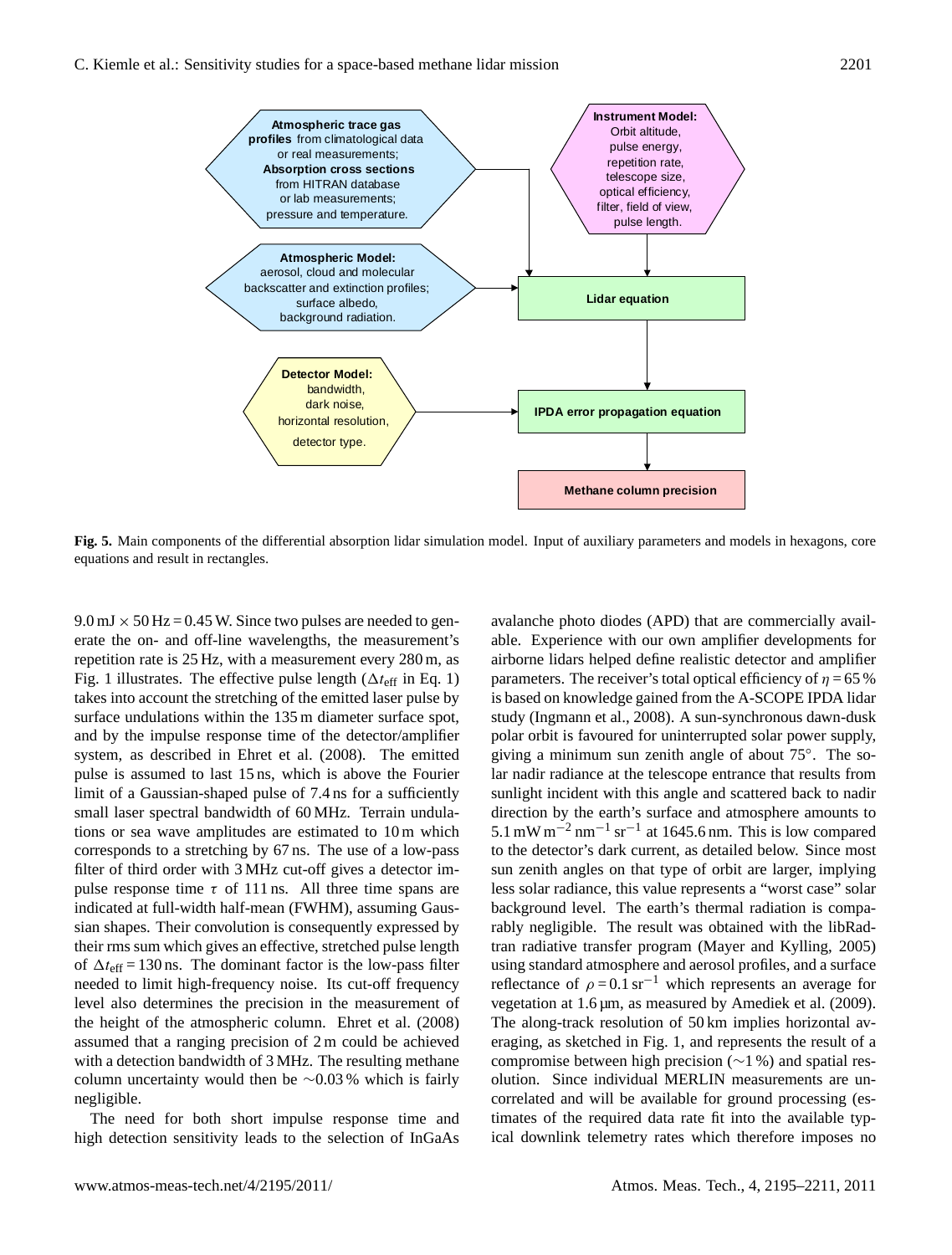

**Fig. 5.** Main components of the differential absorption lidar simulation model. Input of auxiliary parameters and models in hexagons, core equations and result in rectangles.

 $9.0 \text{ mJ} \times 50 \text{ Hz} = 0.45 \text{ W}$ . Since two pulses are needed to generate the on- and off-line wavelengths, the measurement's repetition rate is 25 Hz, with a measurement every 280 m, as Fig. 1 illustrates. The effective pulse length ( $\Delta t_{\text{eff}}$  in Eq. 1) takes into account the stretching of the emitted laser pulse by surface undulations within the 135 m diameter surface spot, and by the impulse response time of the detector/amplifier system, as described in Ehret et al. (2008). The emitted pulse is assumed to last 15 ns, which is above the Fourier limit of a Gaussian-shaped pulse of 7.4 ns for a sufficiently small laser spectral bandwidth of 60 MHz. Terrain undulations or sea wave amplitudes are estimated to 10 m which corresponds to a stretching by 67 ns. The use of a low-pass filter of third order with 3 MHz cut-off gives a detector impulse response time  $\tau$  of 111 ns. All three time spans are indicated at full-width half-mean (FWHM), assuming Gaussian shapes. Their convolution is consequently expressed by their rms sum which gives an effective, stretched pulse length of  $\Delta t_{\text{eff}} = 130 \text{ ns}$ . The dominant factor is the low-pass filter needed to limit high-frequency noise. Its cut-off frequency level also determines the precision in the measurement of the height of the atmospheric column. Ehret et al. (2008) assumed that a ranging precision of 2 m could be achieved with a detection bandwidth of 3 MHz. The resulting methane column uncertainty would then be ∼0.03 % which is fairly negligible.

The need for both short impulse response time and high detection sensitivity leads to the selection of InGaAs

avalanche photo diodes (APD) that are commercially available. Experience with our own amplifier developments for airborne lidars helped define realistic detector and amplifier parameters. The receiver's total optical efficiency of  $\eta = 65$ % is based on knowledge gained from the A-SCOPE IPDA lidar study (Ingmann et al., 2008). A sun-synchronous dawn-dusk polar orbit is favoured for uninterrupted solar power supply, giving a minimum sun zenith angle of about 75◦ . The solar nadir radiance at the telescope entrance that results from sunlight incident with this angle and scattered back to nadir direction by the earth's surface and atmosphere amounts to 5.1 mW m<sup>-2</sup> nm<sup>-1</sup> sr<sup>-1</sup> at 1645.6 nm. This is low compared to the detector's dark current, as detailed below. Since most sun zenith angles on that type of orbit are larger, implying less solar radiance, this value represents a "worst case" solar background level. The earth's thermal radiation is comparably negligible. The result was obtained with the libRadtran radiative transfer program (Mayer and Kylling, 2005) using standard atmosphere and aerosol profiles, and a surface reflectance of  $\rho = 0.1 \text{ sr}^{-1}$  which represents an average for vegetation at 1.6 µm, as measured by Amediek et al. (2009). The along-track resolution of 50 km implies horizontal averaging, as sketched in Fig. 1, and represents the result of a compromise between high precision (∼1 %) and spatial resolution. Since individual MERLIN measurements are uncorrelated and will be available for ground processing (estimates of the required data rate fit into the available typical downlink telemetry rates which therefore imposes no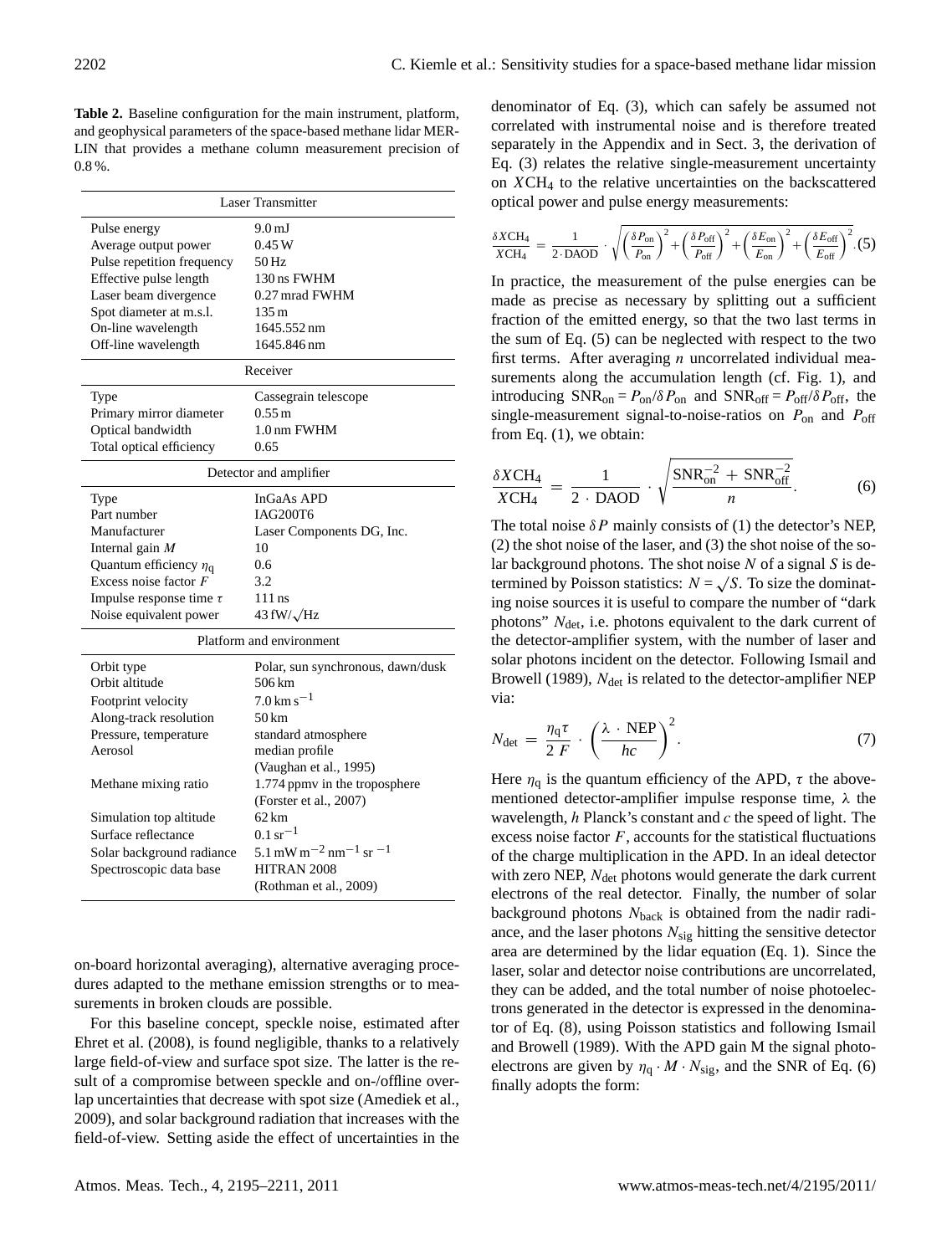**Table 2.** Baseline configuration for the main instrument, platform, and geophysical parameters of the space-based methane lidar MER-LIN that provides a methane column measurement precision of 0.8 %.

|                                        | <b>Laser Transmitter</b>                                 |  |  |  |  |
|----------------------------------------|----------------------------------------------------------|--|--|--|--|
| Pulse energy                           | 9.0 <sub>mJ</sub>                                        |  |  |  |  |
| Average output power                   | 0.45W                                                    |  |  |  |  |
| Pulse repetition frequency             | 50 Hz                                                    |  |  |  |  |
| Effective pulse length                 | 130 ns FWHM                                              |  |  |  |  |
| Laser beam divergence                  | 0.27 mrad FWHM                                           |  |  |  |  |
| Spot diameter at m.s.l.                | 135 m                                                    |  |  |  |  |
| On-line wavelength                     | 1645.552 nm                                              |  |  |  |  |
| Off-line wavelength                    | 1645.846 nm                                              |  |  |  |  |
| Receiver                               |                                                          |  |  |  |  |
| Type                                   | Cassegrain telescope                                     |  |  |  |  |
| Primary mirror diameter                | $0.55 \,\mathrm{m}$                                      |  |  |  |  |
| Optical bandwidth                      | 1.0 nm FWHM                                              |  |  |  |  |
| Total optical efficiency               | 0.65                                                     |  |  |  |  |
| Detector and amplifier                 |                                                          |  |  |  |  |
| Type                                   | <b>InGaAs APD</b>                                        |  |  |  |  |
| Part number                            | <b>IAG200T6</b>                                          |  |  |  |  |
| Manufacturer                           | Laser Components DG, Inc.                                |  |  |  |  |
| Internal gain $M$                      | 10                                                       |  |  |  |  |
| Quantum efficiency $\eta$ <sup>q</sup> | 0.6                                                      |  |  |  |  |
| Excess noise factor F                  | 3.2                                                      |  |  |  |  |
| Impulse response time $\tau$           | 111 ns                                                   |  |  |  |  |
| Noise equivalent power                 | 43 fW/ $\sqrt{Hz}$                                       |  |  |  |  |
| Platform and environment               |                                                          |  |  |  |  |
| Orbit type                             | Polar, sun synchronous, dawn/dusk                        |  |  |  |  |
| Orbit altitude                         | 506 km                                                   |  |  |  |  |
| Footprint velocity                     | $7.0\,\mathrm{km}\,\mathrm{s}^{-1}$                      |  |  |  |  |
| Along-track resolution                 | 50 km                                                    |  |  |  |  |
| Pressure, temperature                  | standard atmosphere                                      |  |  |  |  |
| Aerosol                                | median profile                                           |  |  |  |  |
|                                        | (Vaughan et al., 1995)                                   |  |  |  |  |
| Methane mixing ratio                   | 1.774 ppmv in the troposphere                            |  |  |  |  |
|                                        | (Forster et al., 2007)                                   |  |  |  |  |
| Simulation top altitude                | 62 km                                                    |  |  |  |  |
| Surface reflectance                    | $0.1 \text{ sr}^{-1}$                                    |  |  |  |  |
| Solar background radiance              | 5.1 mW m <sup>-2</sup> nm <sup>-1</sup> sr <sup>-1</sup> |  |  |  |  |
| Spectroscopic data base                | HITRAN 2008                                              |  |  |  |  |
|                                        | (Rothman et al., 2009)                                   |  |  |  |  |
|                                        |                                                          |  |  |  |  |

on-board horizontal averaging), alternative averaging procedures adapted to the methane emission strengths or to measurements in broken clouds are possible.

For this baseline concept, speckle noise, estimated after Ehret et al. (2008), is found negligible, thanks to a relatively large field-of-view and surface spot size. The latter is the result of a compromise between speckle and on-/offline overlap uncertainties that decrease with spot size (Amediek et al., 2009), and solar background radiation that increases with the field-of-view. Setting aside the effect of uncertainties in the denominator of Eq. (3), which can safely be assumed not correlated with instrumental noise and is therefore treated separately in the Appendix and in Sect. 3, the derivation of Eq. (3) relates the relative single-measurement uncertainty on XCH<sup>4</sup> to the relative uncertainties on the backscattered optical power and pulse energy measurements:

$$
\frac{\delta XCH_4}{XCH_4} = \frac{1}{2 \cdot \text{DAOD}} \cdot \sqrt{\left(\frac{\delta P_{on}}{P_{on}}\right)^2 + \left(\frac{\delta P_{off}}{P_{off}}\right)^2 + \left(\frac{\delta E_{on}}{E_{on}}\right)^2 + \left(\frac{\delta E_{off}}{E_{off}}\right)^2}.\text{(5)}
$$

In practice, the measurement of the pulse energies can be made as precise as necessary by splitting out a sufficient fraction of the emitted energy, so that the two last terms in the sum of Eq. (5) can be neglected with respect to the two first terms. After averaging  $n$  uncorrelated individual measurements along the accumulation length (cf. Fig. 1), and introducing  $SNR_{on} = P_{on}/\delta P_{on}$  and  $SNR_{off} = P_{off}/\delta P_{off}$ , the single-measurement signal-to-noise-ratios on  $P_{on}$  and  $P_{off}$ from Eq. (1), we obtain:

$$
\frac{\delta XCH_4}{XCH_4} = \frac{1}{2 \cdot \text{DAOD}} \cdot \sqrt{\frac{\text{SNR}_{\text{on}}^{-2} + \text{SNR}_{\text{off}}^{-2}}{n}}.
$$
 (6)

The total noise  $\delta P$  mainly consists of (1) the detector's NEP, (2) the shot noise of the laser, and (3) the shot noise of the solar background photons. The shot noise  $N$  of a signal  $S$  is determined by Poisson statistics:  $N = \sqrt{S}$ . To size the dominating noise sources it is useful to compare the number of "dark photons"  $N_{\text{det}}$ , i.e. photons equivalent to the dark current of the detector-amplifier system, with the number of laser and solar photons incident on the detector. Following Ismail and Browell (1989),  $N_{\text{det}}$  is related to the detector-amplifier NEP via:

$$
N_{\text{det}} = \frac{\eta_{\text{q}}\tau}{2 F} \cdot \left(\frac{\lambda \cdot \text{NEP}}{hc}\right)^2.
$$
 (7)

Here  $\eta_q$  is the quantum efficiency of the APD,  $\tau$  the abovementioned detector-amplifier impulse response time,  $\lambda$  the wavelength,  $h$  Planck's constant and  $c$  the speed of light. The excess noise factor  $F$ , accounts for the statistical fluctuations of the charge multiplication in the APD. In an ideal detector with zero NEP,  $N_{\text{det}}$  photons would generate the dark current electrons of the real detector. Finally, the number of solar background photons  $N_{\text{back}}$  is obtained from the nadir radiance, and the laser photons  $N_{sig}$  hitting the sensitive detector area are determined by the lidar equation (Eq. 1). Since the laser, solar and detector noise contributions are uncorrelated, they can be added, and the total number of noise photoelectrons generated in the detector is expressed in the denominator of Eq. (8), using Poisson statistics and following Ismail and Browell (1989). With the APD gain M the signal photoelectrons are given by  $\eta_q \cdot M \cdot N_{\text{sig}}$ , and the SNR of Eq. (6) finally adopts the form: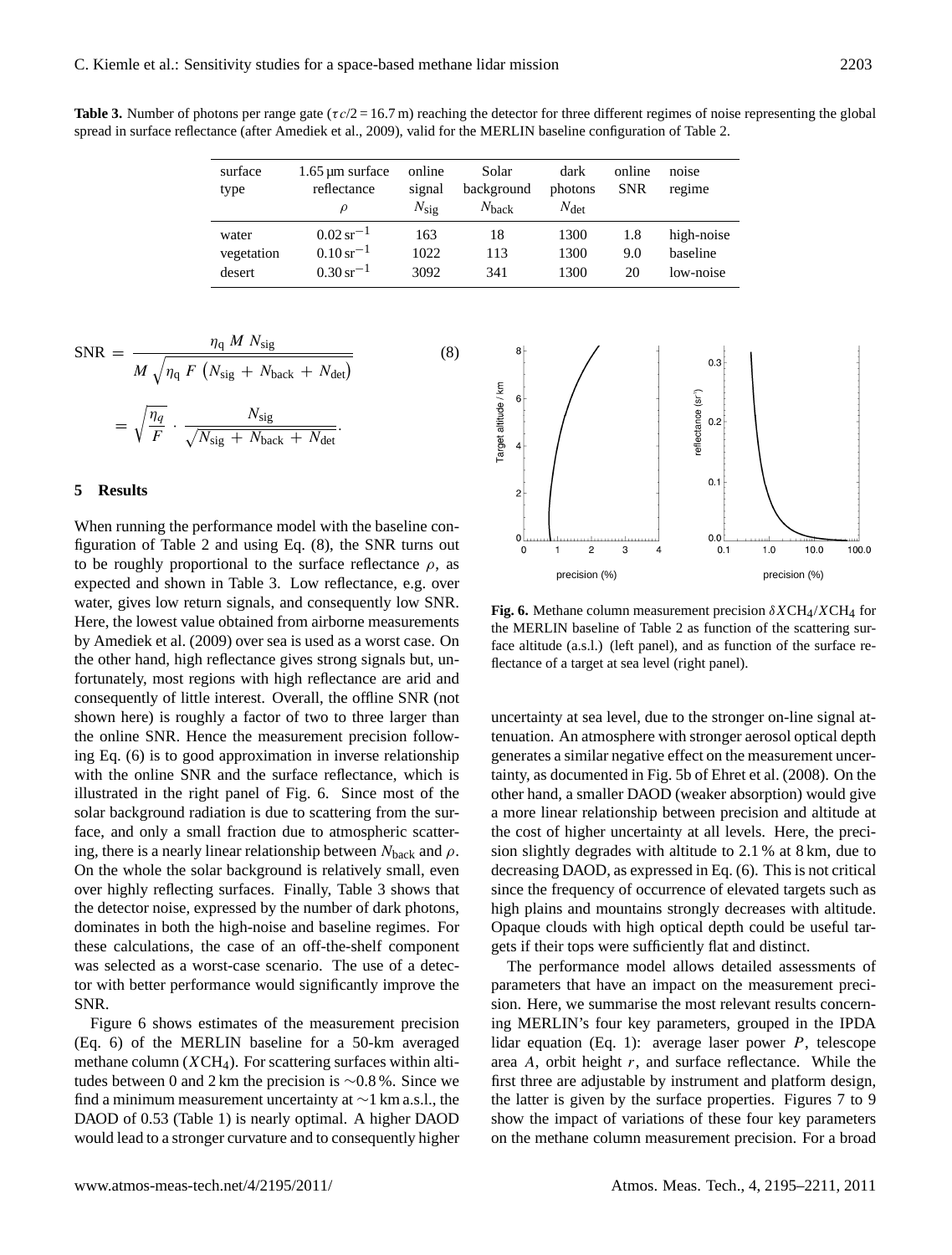**Table 3.** Number of photons per range gate ( $\tau c/2 = 16.7$  m) reaching the detector for three different regimes of noise representing the global spread in surface reflectance (after Amediek et al., 2009), valid for the MERLIN baseline configuration of Table 2.

| surface<br>type | 1.65 µm surface<br>reflectance<br>ρ | online<br>signal<br>$N_{\text{sig}}$ | Solar<br>background<br>$N_{\rm back}$ | dark<br>photons<br>$N_{\text{det}}$ | online<br><b>SNR</b> | noise<br>regime |
|-----------------|-------------------------------------|--------------------------------------|---------------------------------------|-------------------------------------|----------------------|-----------------|
| water           | $0.02 \text{ sr}^{-1}$              | 163                                  | 18                                    | 1300                                | 1.8                  | high-noise      |
| vegetation      | $0.10 \,\mathrm{sr}^{-1}$           | 1022                                 | 113                                   | 1300                                | 9.0                  | baseline        |
| desert          | $0.30 \,\mathrm{sr}^{-1}$           | 3092                                 | 341                                   | 1300                                | 20                   | low-noise       |

$$
SNR = \frac{\eta_{q} M N_{sig}}{M \sqrt{\eta_{q} F (N_{sig} + N_{back} + N_{det})}}
$$
(8)  

$$
= \sqrt{\frac{\eta_{q}}{F}} \cdot \frac{N_{sig}}{\sqrt{N_{sig} + N_{back} + N_{det}}}.
$$

#### **5 Results**

When running the performance model with the baseline configuration of Table 2 and using Eq. (8), the SNR turns out to be roughly proportional to the surface reflectance  $\rho$ , as expected and shown in Table 3. Low reflectance, e.g. over water, gives low return signals, and consequently low SNR. Here, the lowest value obtained from airborne measurements by Amediek et al. (2009) over sea is used as a worst case. On the other hand, high reflectance gives strong signals but, unfortunately, most regions with high reflectance are arid and consequently of little interest. Overall, the offline SNR (not shown here) is roughly a factor of two to three larger than the online SNR. Hence the measurement precision following Eq. (6) is to good approximation in inverse relationship with the online SNR and the surface reflectance, which is illustrated in the right panel of Fig. 6. Since most of the solar background radiation is due to scattering from the surface, and only a small fraction due to atmospheric scattering, there is a nearly linear relationship between  $N_{\text{back}}$  and  $\rho$ . On the whole the solar background is relatively small, even over highly reflecting surfaces. Finally, Table 3 shows that the detector noise, expressed by the number of dark photons, dominates in both the high-noise and baseline regimes. For these calculations, the case of an off-the-shelf component was selected as a worst-case scenario. The use of a detector with better performance would significantly improve the SNR.

Figure 6 shows estimates of the measurement precision (Eq. 6) of the MERLIN baseline for a 50-km averaged methane column  $(XCH<sub>4</sub>)$ . For scattering surfaces within altitudes between 0 and 2 km the precision is ∼0.8 %. Since we find a minimum measurement uncertainty at ∼1 km a.s.l., the DAOD of 0.53 (Table 1) is nearly optimal. A higher DAOD would lead to a stronger curvature and to consequently higher



**Fig. 6.** Methane column measurement precision  $\delta XCH_4/XCH_4$  for the MERLIN baseline of Table 2 as function of the scattering surface altitude (a.s.l.) (left panel), and as function of the surface reflectance of a target at sea level (right panel).

uncertainty at sea level, due to the stronger on-line signal attenuation. An atmosphere with stronger aerosol optical depth generates a similar negative effect on the measurement uncertainty, as documented in Fig. 5b of Ehret et al. (2008). On the other hand, a smaller DAOD (weaker absorption) would give a more linear relationship between precision and altitude at the cost of higher uncertainty at all levels. Here, the precision slightly degrades with altitude to 2.1 % at 8 km, due to decreasing DAOD, as expressed in Eq. (6). This is not critical since the frequency of occurrence of elevated targets such as high plains and mountains strongly decreases with altitude. Opaque clouds with high optical depth could be useful targets if their tops were sufficiently flat and distinct.

The performance model allows detailed assessments of parameters that have an impact on the measurement precision. Here, we summarise the most relevant results concerning MERLIN's four key parameters, grouped in the IPDA lidar equation (Eq. 1): average laser power  $P$ , telescope area  $A$ , orbit height  $r$ , and surface reflectance. While the first three are adjustable by instrument and platform design, the latter is given by the surface properties. Figures 7 to 9 show the impact of variations of these four key parameters on the methane column measurement precision. For a broad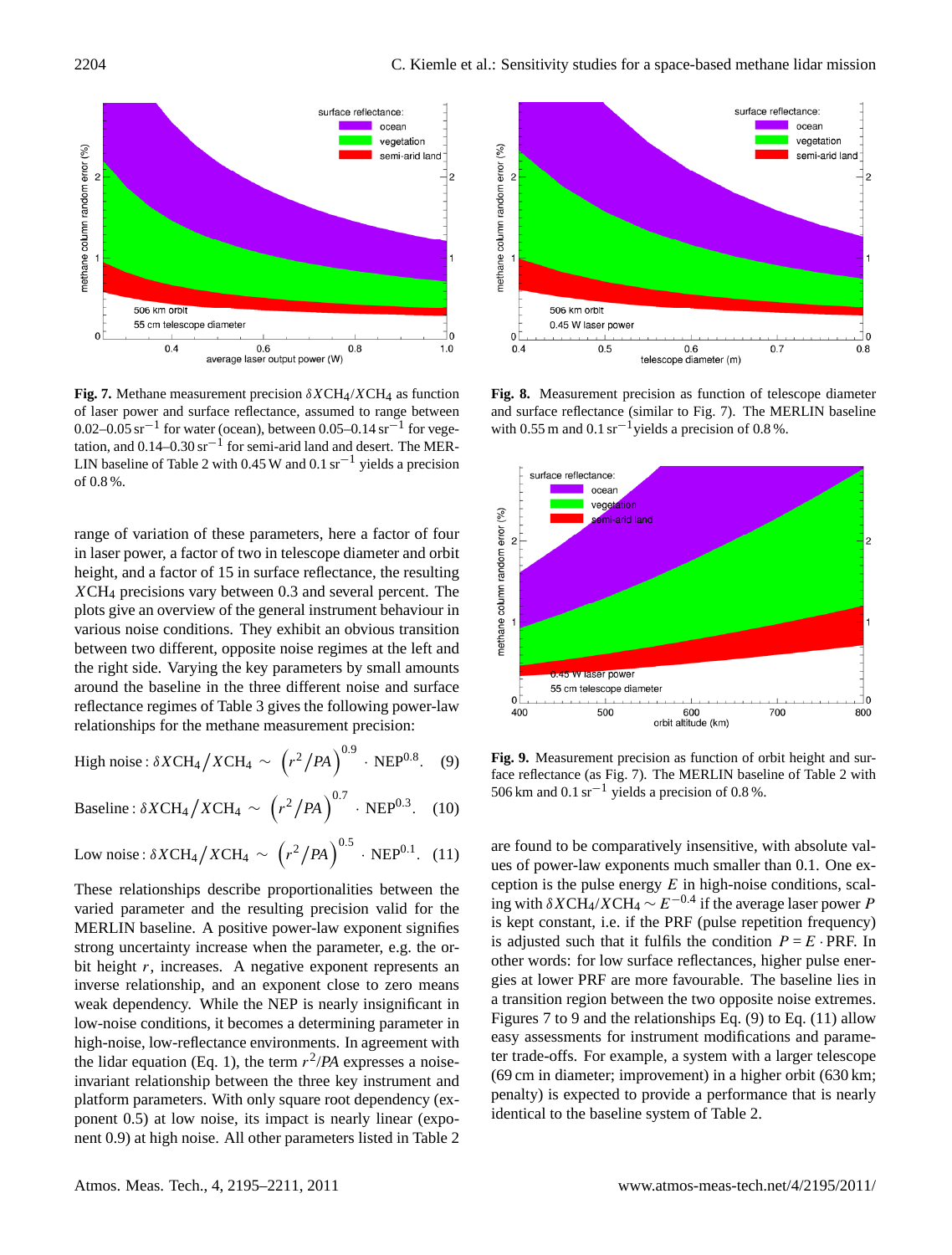

**Fig. 7.** Methane measurement precision  $\delta XCH_4/XCH_4$  as function of laser power and surface reflectance, assumed to range between 0.02–0.05 sr<sup>-1</sup> for water (ocean), between 0.05–0.14 sr<sup>-1</sup> for vegetation, and  $0.14-0.30 \text{ sr}^{-1}$  for semi-arid land and desert. The MER-LIN baseline of Table 2 with 0.45 W and  $0.1 \text{ sr}^{-1}$  yields a precision of 0.8 %.

range of variation of these parameters, here a factor of four in laser power, a factor of two in telescope diameter and orbit height, and a factor of 15 in surface reflectance, the resulting XCH<sup>4</sup> precisions vary between 0.3 and several percent. The plots give an overview of the general instrument behaviour in various noise conditions. They exhibit an obvious transition between two different, opposite noise regimes at the left and the right side. Varying the key parameters by small amounts around the baseline in the three different noise and surface reflectance regimes of Table 3 gives the following power-law relationships for the methane measurement precision:

High noise: 
$$
\delta XCH_4 / XCH_4 \sim (r^2 / PA)^{0.9} \cdot \text{NEP}^{0.8}
$$
. (9)

$$
\text{Baseline}: \delta X \text{CH}_4 \big/ X \text{CH}_4 \sim \left( r^2 / P A \right)^{0.7} \cdot \text{NEP}^{0.3}. \quad (10)
$$

Low noise: 
$$
\delta XCH_4 / XCH_4 \sim (r^2 / PA)^{0.5} \cdot \text{NEP}^{0.1}
$$
. (11)

These relationships describe proportionalities between the varied parameter and the resulting precision valid for the MERLIN baseline. A positive power-law exponent signifies strong uncertainty increase when the parameter, e.g. the orbit height  $r$ , increases. A negative exponent represents an inverse relationship, and an exponent close to zero means weak dependency. While the NEP is nearly insignificant in low-noise conditions, it becomes a determining parameter in high-noise, low-reflectance environments. In agreement with the lidar equation (Eq. 1), the term  $r^2/PA$  expresses a noiseinvariant relationship between the three key instrument and platform parameters. With only square root dependency (exponent 0.5) at low noise, its impact is nearly linear (exponent 0.9) at high noise. All other parameters listed in Table 2



**Fig. 8.** Measurement precision as function of telescope diameter and surface reflectance (similar to Fig. 7). The MERLIN baseline with 0.55 m and 0.1 sr<sup> $-1$ </sup> yields a precision of 0.8%.



**Fig. 9.** Measurement precision as function of orbit height and surface reflectance (as Fig. 7). The MERLIN baseline of Table 2 with 506 km and 0.1 sr<sup> $-1$ </sup> yields a precision of 0.8 %.

are found to be comparatively insensitive, with absolute values of power-law exponents much smaller than 0.1. One exception is the pulse energy  $E$  in high-noise conditions, scaling with  $\delta XCH_4/XCH_4 \sim E^{-0.4}$  if the average laser power *F* is kept constant, i.e. if the PRF (pulse repetition frequency) is adjusted such that it fulfils the condition  $P = E \cdot PRF$ . In other words: for low surface reflectances, higher pulse energies at lower PRF are more favourable. The baseline lies in a transition region between the two opposite noise extremes. Figures 7 to 9 and the relationships Eq. (9) to Eq. (11) allow easy assessments for instrument modifications and parameter trade-offs. For example, a system with a larger telescope (69 cm in diameter; improvement) in a higher orbit (630 km; penalty) is expected to provide a performance that is nearly identical to the baseline system of Table 2.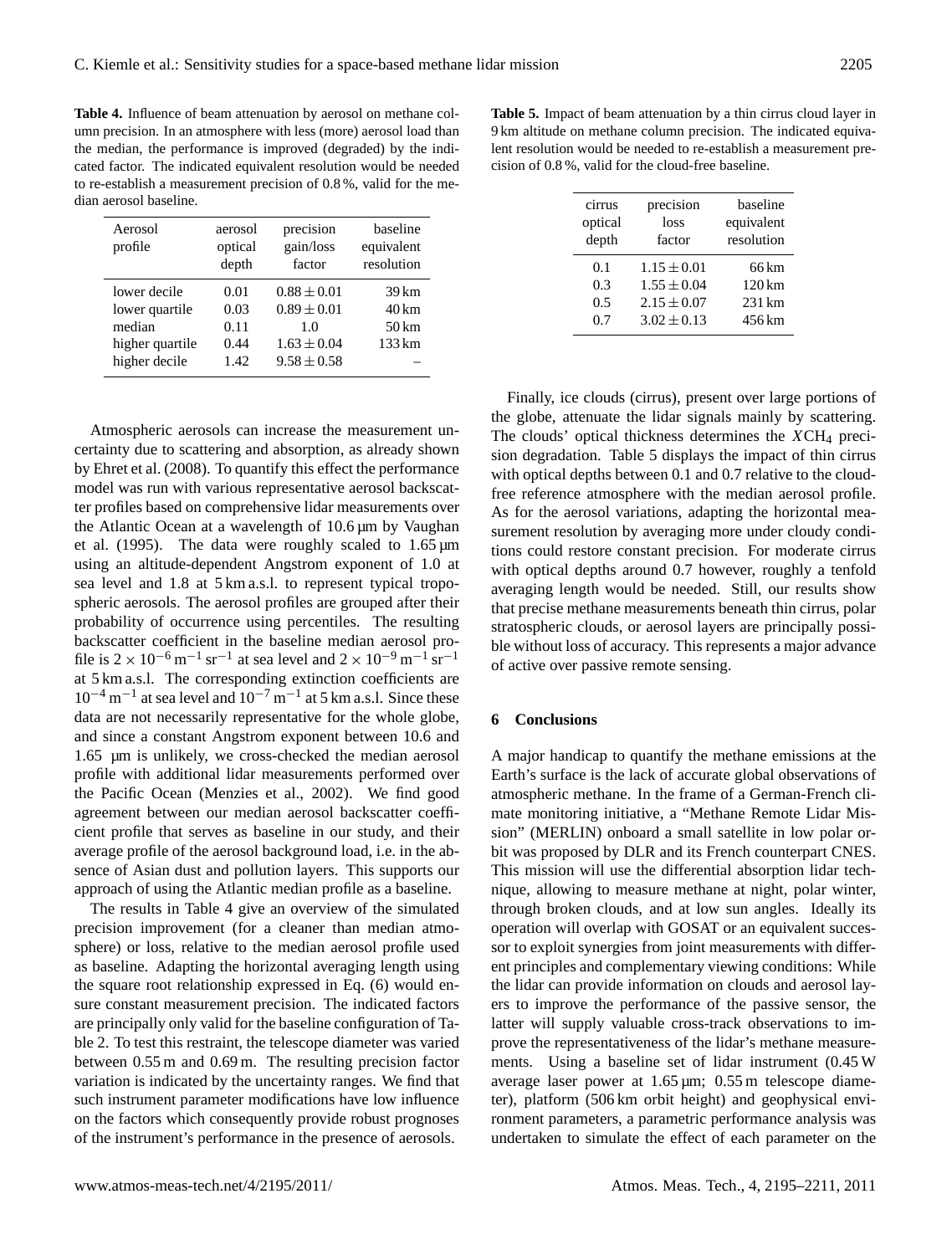**Table 4.** Influence of beam attenuation by aerosol on methane column precision. In an atmosphere with less (more) aerosol load than the median, the performance is improved (degraded) by the indicated factor. The indicated equivalent resolution would be needed to re-establish a measurement precision of 0.8 %, valid for the median aerosol baseline.

| Aerosol<br>profile | aerosol<br>optical<br>depth | precision<br>gain/loss<br>factor | baseline<br>equivalent<br>resolution |
|--------------------|-----------------------------|----------------------------------|--------------------------------------|
| lower decile       | 0.01                        | $0.88 \pm 0.01$                  | $39 \text{ km}$                      |
| lower quartile     | 0.03                        | $0.89 \pm 0.01$                  | $40 \mathrm{km}$                     |
| median             | 0.11                        | 1.0                              | $50 \mathrm{km}$                     |
| higher quartile    | 0.44                        | $1.63 \pm 0.04$                  | 133 km                               |
| higher decile      | 1.42                        | $9.58 \pm 0.58$                  |                                      |

Atmospheric aerosols can increase the measurement uncertainty due to scattering and absorption, as already shown by Ehret et al. (2008). To quantify this effect the performance model was run with various representative aerosol backscatter profiles based on comprehensive lidar measurements over the Atlantic Ocean at a wavelength of 10.6 µm by Vaughan et al. (1995). The data were roughly scaled to 1.65 µm using an altitude-dependent Angstrom exponent of 1.0 at sea level and 1.8 at 5 km a.s.l. to represent typical tropospheric aerosols. The aerosol profiles are grouped after their probability of occurrence using percentiles. The resulting backscatter coefficient in the baseline median aerosol profile is  $2 \times 10^{-6}$  m<sup>-1</sup> sr<sup>-1</sup> at sea level and  $2 \times 10^{-9}$  m<sup>-1</sup> sr<sup>-1</sup> at 5 km a.s.l. The corresponding extinction coefficients are  $10^{-4}$  m<sup>-1</sup> at sea level and  $10^{-7}$  m<sup>-1</sup> at 5 km a.s.l. Since these data are not necessarily representative for the whole globe, and since a constant Angstrom exponent between 10.6 and 1.65 µm is unlikely, we cross-checked the median aerosol profile with additional lidar measurements performed over the Pacific Ocean (Menzies et al., 2002). We find good agreement between our median aerosol backscatter coefficient profile that serves as baseline in our study, and their average profile of the aerosol background load, i.e. in the absence of Asian dust and pollution layers. This supports our approach of using the Atlantic median profile as a baseline.

The results in Table 4 give an overview of the simulated precision improvement (for a cleaner than median atmosphere) or loss, relative to the median aerosol profile used as baseline. Adapting the horizontal averaging length using the square root relationship expressed in Eq. (6) would ensure constant measurement precision. The indicated factors are principally only valid for the baseline configuration of Table 2. To test this restraint, the telescope diameter was varied between 0.55 m and 0.69 m. The resulting precision factor variation is indicated by the uncertainty ranges. We find that such instrument parameter modifications have low influence on the factors which consequently provide robust prognoses of the instrument's performance in the presence of aerosols.

**Table 5.** Impact of beam attenuation by a thin cirrus cloud layer in 9 km altitude on methane column precision. The indicated equivalent resolution would be needed to re-establish a measurement precision of 0.8 %, valid for the cloud-free baseline.

| cirrus<br>optical<br>depth | precision<br>loss<br>factor | baseline<br>equivalent<br>resolution |
|----------------------------|-----------------------------|--------------------------------------|
| 0.1                        | $1.15 \pm 0.01$             | 66 km                                |
| 0.3                        | $1.55 \pm 0.04$             | $120 \mathrm{km}$                    |
| 0.5                        | $2.15 \pm 0.07$             | 231 km                               |
| 0.7                        | $3.02 \pm 0.13$             | 456 km                               |
|                            |                             |                                      |

Finally, ice clouds (cirrus), present over large portions of the globe, attenuate the lidar signals mainly by scattering. The clouds' optical thickness determines the  $XCH<sub>4</sub>$  precision degradation. Table 5 displays the impact of thin cirrus with optical depths between 0.1 and 0.7 relative to the cloudfree reference atmosphere with the median aerosol profile. As for the aerosol variations, adapting the horizontal measurement resolution by averaging more under cloudy conditions could restore constant precision. For moderate cirrus with optical depths around 0.7 however, roughly a tenfold averaging length would be needed. Still, our results show that precise methane measurements beneath thin cirrus, polar stratospheric clouds, or aerosol layers are principally possible without loss of accuracy. This represents a major advance of active over passive remote sensing.

## **6 Conclusions**

A major handicap to quantify the methane emissions at the Earth's surface is the lack of accurate global observations of atmospheric methane. In the frame of a German-French climate monitoring initiative, a "Methane Remote Lidar Mission" (MERLIN) onboard a small satellite in low polar orbit was proposed by DLR and its French counterpart CNES. This mission will use the differential absorption lidar technique, allowing to measure methane at night, polar winter, through broken clouds, and at low sun angles. Ideally its operation will overlap with GOSAT or an equivalent successor to exploit synergies from joint measurements with different principles and complementary viewing conditions: While the lidar can provide information on clouds and aerosol layers to improve the performance of the passive sensor, the latter will supply valuable cross-track observations to improve the representativeness of the lidar's methane measurements. Using a baseline set of lidar instrument (0.45 W average laser power at 1.65 µm; 0.55 m telescope diameter), platform (506 km orbit height) and geophysical environment parameters, a parametric performance analysis was undertaken to simulate the effect of each parameter on the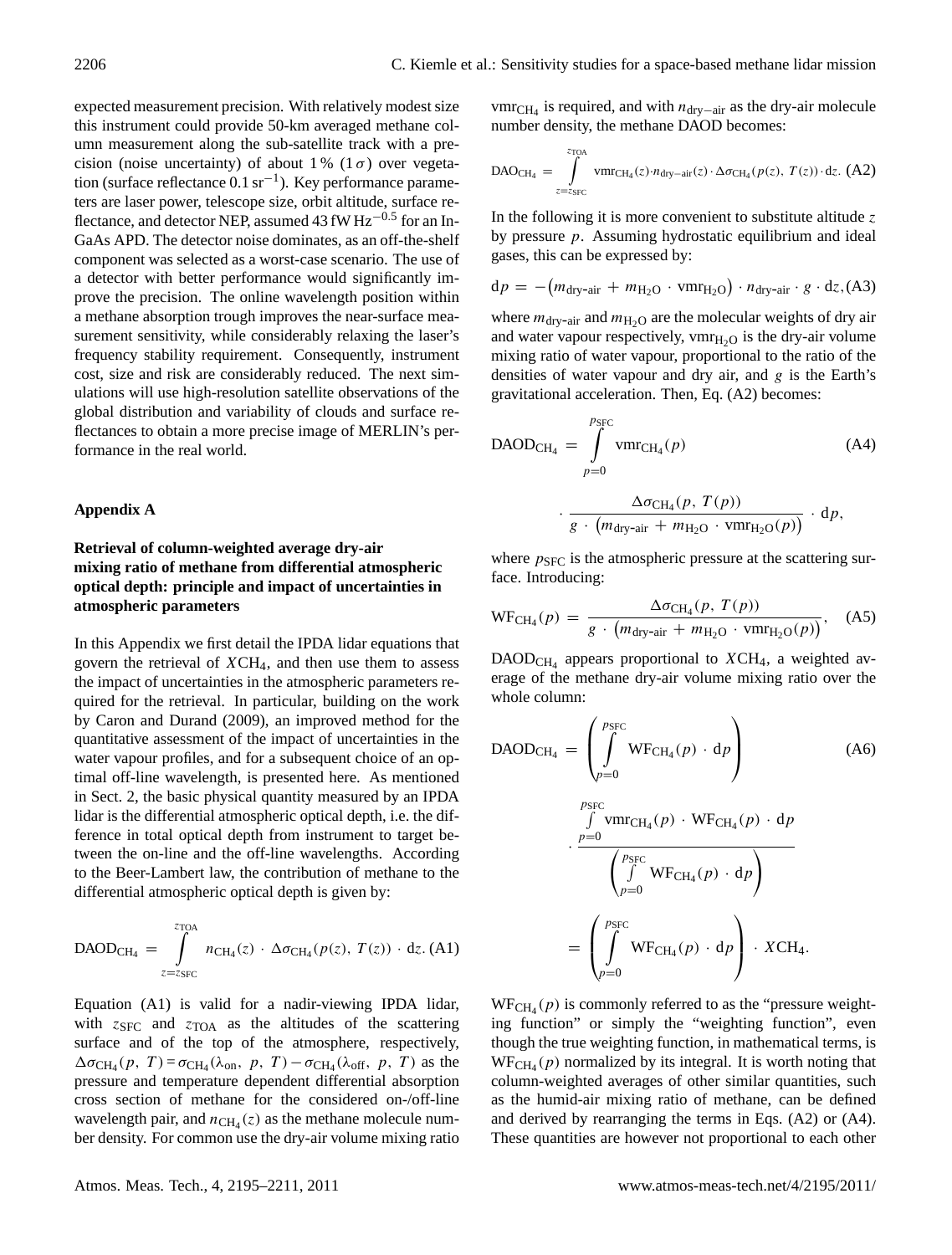expected measurement precision. With relatively modest size this instrument could provide 50-km averaged methane column measurement along the sub-satellite track with a precision (noise uncertainty) of about 1% (1 $\sigma$ ) over vegetation (surface reflectance  $0.1 \text{ sr}^{-1}$ ). Key performance parameters are laser power, telescope size, orbit altitude, surface reflectance, and detector NEP, assumed 43 fW Hz<sup>-0.5</sup> for an In-GaAs APD. The detector noise dominates, as an off-the-shelf component was selected as a worst-case scenario. The use of a detector with better performance would significantly improve the precision. The online wavelength position within a methane absorption trough improves the near-surface measurement sensitivity, while considerably relaxing the laser's frequency stability requirement. Consequently, instrument cost, size and risk are considerably reduced. The next simulations will use high-resolution satellite observations of the global distribution and variability of clouds and surface reflectances to obtain a more precise image of MERLIN's performance in the real world.

#### **Appendix A**

# **Retrieval of column-weighted average dry-air mixing ratio of methane from differential atmospheric optical depth: principle and impact of uncertainties in atmospheric parameters**

In this Appendix we first detail the IPDA lidar equations that govern the retrieval of  $XCH<sub>4</sub>$ , and then use them to assess the impact of uncertainties in the atmospheric parameters required for the retrieval. In particular, building on the work by Caron and Durand (2009), an improved method for the quantitative assessment of the impact of uncertainties in the water vapour profiles, and for a subsequent choice of an optimal off-line wavelength, is presented here. As mentioned in Sect. 2, the basic physical quantity measured by an IPDA lidar is the differential atmospheric optical depth, i.e. the difference in total optical depth from instrument to target between the on-line and the off-line wavelengths. According to the Beer-Lambert law, the contribution of methane to the differential atmospheric optical depth is given by:

$$
DAOD_{CH_4} = \int_{z=z_{SFC}}^{z_{TOA}} n_{CH_4}(z) \cdot \Delta \sigma_{CH_4}(p(z), T(z)) \cdot dz. (A1)
$$

Equation (A1) is valid for a nadir-viewing IPDA lidar, with  $z<sub>SFC</sub>$  and  $z<sub>TOA</sub>$  as the altitudes of the scattering surface and of the top of the atmosphere, respectively,  $\Delta \sigma_{\text{CH}_4}(p, T) = \sigma_{\text{CH}_4}(\lambda_{\text{on}}, p, T) - \sigma_{\text{CH}_4}(\lambda_{\text{off}}, p, T)$  as the pressure and temperature dependent differential absorption cross section of methane for the considered on-/off-line wavelength pair, and  $n_{\text{CH}_4}(z)$  as the methane molecule number density. For common use the dry-air volume mixing ratio

vmr<sub>CH<sub>4</sub></sub> is required, and with  $n_{\text{dry-air}}$  as the dry-air molecule number density, the methane DAOD becomes:

$$
\text{DAO}_{\text{CH}_4} = \int_{z=z_{\text{SFC}}}^{z_{\text{TOA}}} \text{vm}_{\text{CH}_4}(z) \cdot n_{\text{dry-air}}(z) \cdot \Delta \sigma_{\text{CH}_4}(p(z), T(z)) \cdot dz. \text{ (A2)}
$$

In the following it is more convenient to substitute altitude  $z$ by pressure  $p$ . Assuming hydrostatic equilibrium and ideal gases, this can be expressed by:

$$
dp = -(m_{\text{dry-air}} + m_{\text{H}_2\text{O}} \cdot \text{vmr}_{\text{H}_2\text{O}}) \cdot n_{\text{dry-air}} \cdot g \cdot dz, (A3)
$$

where  $m_{\text{dry-air}}$  and  $m_{\text{H}_2\text{O}}$  are the molecular weights of dry air and water vapour respectively,  $v m r_{H<sub>2</sub>O}$  is the dry-air volume mixing ratio of water vapour, proportional to the ratio of the densities of water vapour and dry air, and g is the Earth's gravitational acceleration. Then, Eq. (A2) becomes:

$$
DAOD_{CH_4} = \int_{p=0}^{p_{SFC}} \text{vm}_{CH_4}(p) \qquad (A4)
$$

$$
\cdot \frac{\Delta \sigma_{CH_4}(p, T(p))}{g \cdot (m_{\text{dry-air}} + m_{\text{H}_2O} \cdot \text{vm}_{\text{H}_2O}(p))} \cdot \text{d}p,
$$

where  $p_{SFC}$  is the atmospheric pressure at the scattering surface. Introducing:

$$
WFCH4(p) = \frac{\Delta \sigma_{CH4}(p, T(p))}{g \cdot (m_{\text{dry-air}} + m_{\text{H}_2O} \cdot \text{vm}_{\text{H}_2O}(p))}, \quad (A5)
$$

 $D AOD_{CH_4}$  appears proportional to  $XCH_4$ , a weighted average of the methane dry-air volume mixing ratio over the whole column:

$$
DAOD_{CH_4} = \left(\int_{p=0}^{p_{SFC}} WF_{CH_4}(p) \cdot dp\right) \qquad (A6)
$$
  

$$
\cdot \frac{\int_{p=0}^{p_{SFC}} \int_{p=0}^{p_{SFC}} \text{WFCH}_4(p) \cdot dp}{\left(\int_{p=0}^{p_{SFC}} WF_{CH_4}(p) \cdot dp\right)}
$$
  

$$
= \left(\int_{p=0}^{p_{SFC}} WF_{CH_4}(p) \cdot dp\right) \cdot XCH_4.
$$

 $WF<sub>CH<sub>4</sub></sub>(p)$  is commonly referred to as the "pressure weighting function" or simply the "weighting function", even though the true weighting function, in mathematical terms, is  $WF<sub>CH<sub>4</sub></sub>(p)$  normalized by its integral. It is worth noting that column-weighted averages of other similar quantities, such as the humid-air mixing ratio of methane, can be defined and derived by rearranging the terms in Eqs. (A2) or (A4). These quantities are however not proportional to each other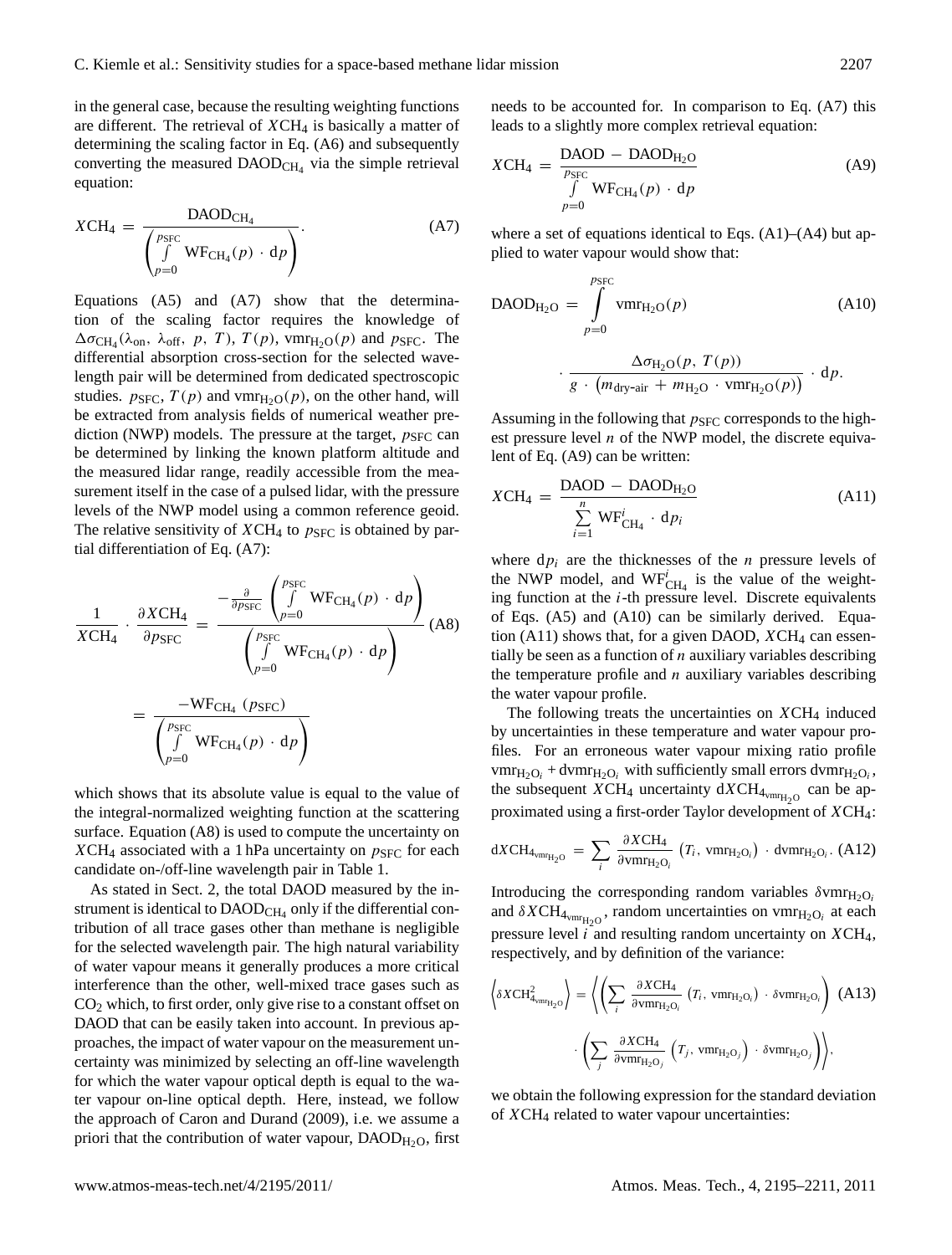in the general case, because the resulting weighting functions are different. The retrieval of  $XCH<sub>4</sub>$  is basically a matter of determining the scaling factor in Eq. (A6) and subsequently converting the measured  $\text{DAOD}_{\text{CH}_4}$  via the simple retrieval equation:

$$
XCH_4 = \frac{\text{DAOD}_{\text{CH}_4}}{\left(\int\limits_{p=0}^{p_{\text{SFC}}} \text{WF}_{\text{CH}_4}(p) \cdot \text{d}p\right)}.
$$
 (A7)

Equations (A5) and (A7) show that the determination of the scaling factor requires the knowledge of  $\Delta \sigma_{\text{CH}_4}(\lambda_{\text{on}}, \lambda_{\text{off}}, p, T), T(p), \text{vmr}_{\text{H}_2\text{O}}(p)$  and  $p_{\text{SFC}}$ . The differential absorption cross-section for the selected wavelength pair will be determined from dedicated spectroscopic studies.  $p_{SFC}$ ,  $T(p)$  and vmr<sub>H<sub>2</sub>O(p), on the other hand, will</sub> be extracted from analysis fields of numerical weather prediction (NWP) models. The pressure at the target,  $p_{SFC}$  can be determined by linking the known platform altitude and the measured lidar range, readily accessible from the measurement itself in the case of a pulsed lidar, with the pressure levels of the NWP model using a common reference geoid. The relative sensitivity of  $XCH<sub>4</sub>$  to  $p_{SFC}$  is obtained by partial differentiation of Eq. (A7):

$$
\frac{1}{XCH_4} \cdot \frac{\partial XCH_4}{\partial p_{SFC}} = \frac{-\frac{\partial}{\partial p_{SFC}} \left( \int_{p=0}^{p_{SFC}} \text{WF}_{CH_4}(p) \cdot \text{d}p \right)}{\left( \int_{p=0}^{p_{SFC}} \text{WF}_{CH_4}(p) \cdot \text{d}p \right)}
$$
\n
$$
= \frac{-\text{WF}_{CH_4} (p_{SFC})}{\left( \int_{p=0}^{p_{SFC}} \text{WF}_{CH_4}(p) \cdot \text{d}p \right)}
$$
\n(A8)

which shows that its absolute value is equal to the value of the integral-normalized weighting function at the scattering surface. Equation (A8) is used to compute the uncertainty on  $XCH<sub>4</sub>$  associated with a 1 hPa uncertainty on  $p_{SFC}$  for each candidate on-/off-line wavelength pair in Table 1.

As stated in Sect. 2, the total DAOD measured by the instrument is identical to  $\text{DAOD}_{\text{CH}_4}$  only if the differential contribution of all trace gases other than methane is negligible for the selected wavelength pair. The high natural variability of water vapour means it generally produces a more critical interference than the other, well-mixed trace gases such as CO<sup>2</sup> which, to first order, only give rise to a constant offset on DAOD that can be easily taken into account. In previous approaches, the impact of water vapour on the measurement uncertainty was minimized by selecting an off-line wavelength for which the water vapour optical depth is equal to the water vapour on-line optical depth. Here, instead, we follow the approach of Caron and Durand (2009), i.e. we assume a priori that the contribution of water vapour,  $D A O D_{H_2O}$ , first

needs to be accounted for. In comparison to Eq. (A7) this leads to a slightly more complex retrieval equation:

$$
XCH_4 = \frac{\text{DAOD} - \text{DAOD}_{\text{H}_2\text{O}}}{\int_{p=0}^{P_{\text{SFC}}} \text{WF}_{\text{CH}_4}(p) \cdot \text{d}p}
$$
(A9)

where a set of equations identical to Eqs.  $(A1)$ – $(A4)$  but applied to water vapour would show that:

$$
DAOD_{H_2O} = \int_{p=0}^{p_{SFC}} \text{vmr}_{H_2O}(p) \qquad (A10)
$$

$$
\cdot \frac{\Delta \sigma_{H_2O}(p, T(p))}{g \cdot (m_{\text{dry-air}} + m_{\text{H}_2O} \cdot \text{vmr}_{\text{H}_2O}(p))} \cdot \text{d}p.
$$

Assuming in the following that  $p_{SFC}$  corresponds to the highest pressure level  $n$  of the NWP model, the discrete equivalent of Eq. (A9) can be written:

$$
XCH_4 = \frac{\text{DAOD} - \text{DAOD}_{H_2O}}{\sum_{i=1}^{n} \text{WF}_{\text{CH}_4}^i \cdot \text{d}p_i}
$$
(A11)

where  $dp_i$  are the thicknesses of the *n* pressure levels of the NWP model, and  $WF_{CH_4}^i$  is the value of the weighting function at the  $i$ -th pressure level. Discrete equivalents of Eqs. (A5) and (A10) can be similarly derived. Equation  $(A11)$  shows that, for a given DAOD,  $XCH<sub>4</sub>$  can essentially be seen as a function of  $n$  auxiliary variables describing the temperature profile and  $n$  auxiliary variables describing the water vapour profile.

The following treats the uncertainties on  $XCH<sub>4</sub>$  induced by uncertainties in these temperature and water vapour profiles. For an erroneous water vapour mixing ratio profile  $\text{vmr}_{\text{H}_2\text{O}_i}$  + dvm $\text{r}_{\text{H}_2\text{O}_i}$  with sufficiently small errors dvm $\text{r}_{\text{H}_2\text{O}_i}$ , the subsequent  $XCH_4$  uncertainty  $dXCH_{4<sub>vmH<sub>2</sub>O}</sub>$  can be approximated using a first-order Taylor development of XCH4:

dXCH<sub>4<sub>vmH<sub>2</sub>O</sub> = 
$$
\sum_{i} \frac{\partial XCH_4}{\partial \text{vmr}_{H_2O_i}} (T_i, \text{vmr}_{H_2O_i}) \cdot \text{dvmr}_{H_2O_i}
$$
. (A12)</sub>

Introducing the corresponding random variables  $\delta \text{vmr}_{H_2O_i}$ and  $\delta XCH_{4_{\text{vmr}}_{12}\text{O}}$ , random uncertainties on vmr<sub>H<sub>2</sub>O<sub>i</sub></sub> at each pressure level  $i$  and resulting random uncertainty on  $XCH<sub>4</sub>$ , respectively, and by definition of the variance:

$$
\left\langle \delta XCH_{4_{\text{vmr}_{H_2O}}}^2 \right\rangle = \left\langle \left( \sum_i \frac{\partial XCH_4}{\partial \text{vmr}_{H_2O_i}} (T_i, \text{vmr}_{H_2O_i}) \cdot \delta \text{vmr}_{H_2O_i} \right) (A13) \right\rangle
$$

$$
\cdot \left( \sum_j \frac{\partial XCH_4}{\partial \text{vmr}_{H_2O_j}} (T_j, \text{vmr}_{H_2O_j}) \cdot \delta \text{vmr}_{H_2O_j} \right) \right\rangle,
$$

we obtain the following expression for the standard deviation of XCH<sup>4</sup> related to water vapour uncertainties: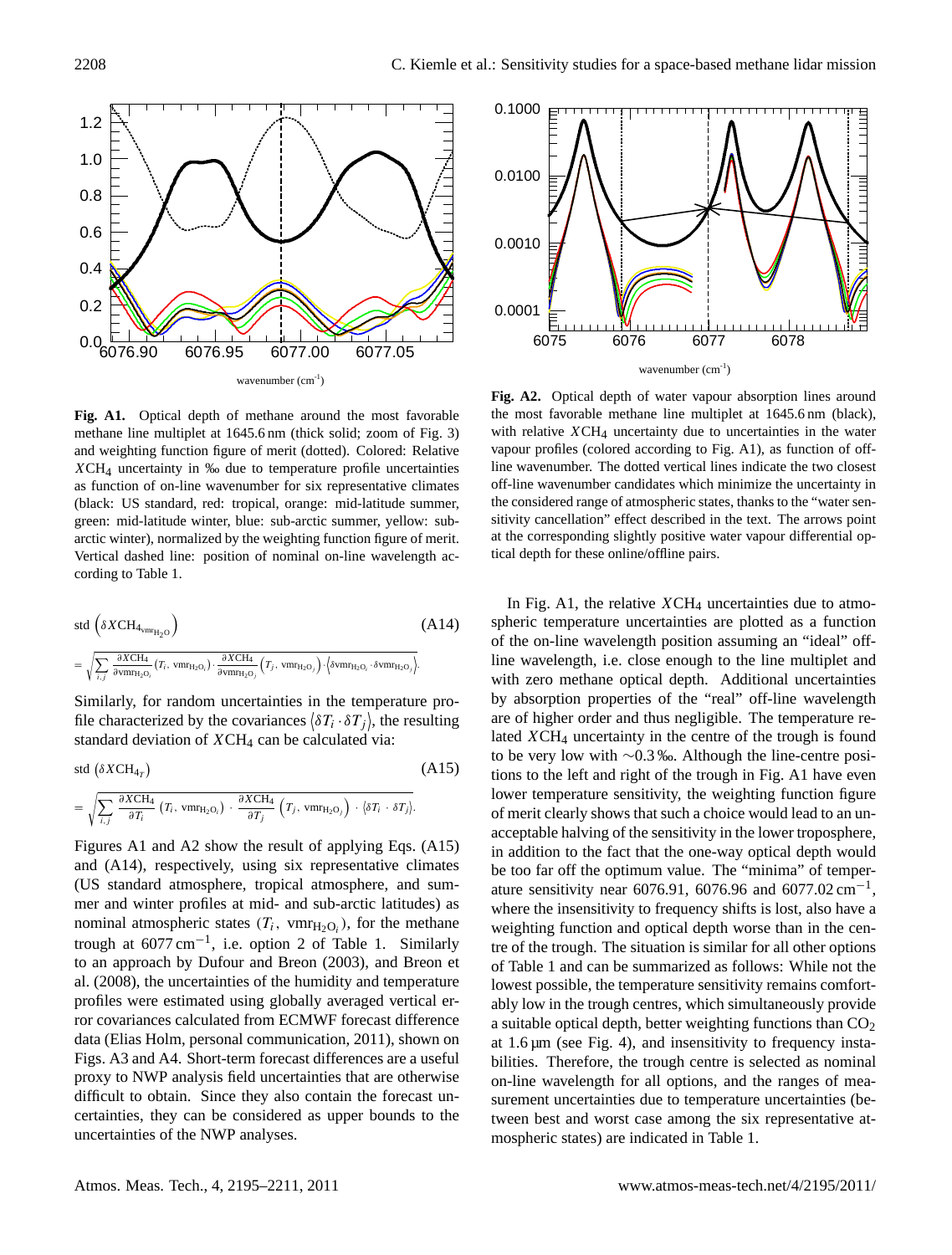

**Fig. A1.** Optical depth of methane around the most favorable methane line multiplet at 1645.6 nm (thick solid; zoom of Fig. 3) and weighting function figure of merit (dotted). Colored: Relative XCH4 uncertainty in ‰ due to temperature profile uncertainties as function of on-line wavenumber for six representative climates (black: US standard, red: tropical, orange: mid-latitude summer, green: mid-latitude winter, blue: sub-arctic summer, yellow: subarctic winter), normalized by the weighting function figure of merit. Vertical dashed line: position of nominal on-line wavelength according to Table 1.

$$
\begin{split} \text{std} & \left( \delta X \text{CH}_{4_{\text{vmr}_{\text{H}_2\text{O}}}} \right) \tag{A14} \\ &= \sqrt{\sum_{i,j} \frac{\partial X \text{CH}_4}{\partial \text{vmr}_{\text{H}_2\text{O}_i}} (T_i, \text{vmr}_{\text{H}_2\text{O}_i}) \cdot \frac{\partial X \text{CH}_4}{\partial \text{vmr}_{\text{H}_2\text{O}_j}} \left( T_j, \text{vmr}_{\text{H}_2\text{O}_i} \right) \cdot \left( \delta \text{vmr}_{\text{H}_2\text{O}_i} \cdot \delta \text{vmr}_{\text{H}_2\text{O}_j} \right)} .\end{split}
$$

Similarly, for random uncertainties in the temperature profile characterized by the covariances  $\langle \delta T_i \cdot \delta T_j \rangle$ , the resulting standard deviation of  $XCH<sub>4</sub>$  can be calculated via:

std 
$$
(\delta XCH_{4T})
$$
 (A15)  
=  $\sqrt{\sum_{i,j} \frac{\partial XCH_4}{\partial T_i} (T_i, \text{vmr}_{H_2O_i}) \cdot \frac{\partial XCH_4}{\partial T_j} (T_j, \text{vmr}_{H_2O_j}) \cdot (\delta T_i \cdot \delta T_j)}$ .

Figures A1 and A2 show the result of applying Eqs. (A15) and (A14), respectively, using six representative climates (US standard atmosphere, tropical atmosphere, and summer and winter profiles at mid- and sub-arctic latitudes) as nominal atmospheric states  $(T_i, \text{vmr}_{H_2O_i})$ , for the methane trough at  $6077 \text{ cm}^{-1}$ , i.e. option 2 of Table 1. Similarly to an approach by Dufour and Breon (2003), and Breon et al. (2008), the uncertainties of the humidity and temperature profiles were estimated using globally averaged vertical error covariances calculated from ECMWF forecast difference data (Elias Holm, personal communication, 2011), shown on Figs. A3 and A4. Short-term forecast differences are a useful proxy to NWP analysis field uncertainties that are otherwise difficult to obtain. Since they also contain the forecast uncertainties, they can be considered as upper bounds to the uncertainties of the NWP analyses.



**Fig. A2.** Optical depth of water vapour absorption lines around the most favorable methane line multiplet at 1645.6 nm (black), with relative  $XCH<sub>4</sub>$  uncertainty due to uncertainties in the water vapour profiles (colored according to Fig. A1), as function of offline wavenumber. The dotted vertical lines indicate the two closest off-line wavenumber candidates which minimize the uncertainty in the considered range of atmospheric states, thanks to the "water sensitivity cancellation" effect described in the text. The arrows point at the corresponding slightly positive water vapour differential optical depth for these online/offline pairs.

In Fig. A1, the relative  $XCH_4$  uncertainties due to atmospheric temperature uncertainties are plotted as a function of the on-line wavelength position assuming an "ideal" offline wavelength, i.e. close enough to the line multiplet and with zero methane optical depth. Additional uncertainties by absorption properties of the "real" off-line wavelength are of higher order and thus negligible. The temperature related  $XCH<sub>4</sub>$  uncertainty in the centre of the trough is found to be very low with ∼0.3 ‰. Although the line-centre positions to the left and right of the trough in Fig. A1 have even lower temperature sensitivity, the weighting function figure of merit clearly shows that such a choice would lead to an unacceptable halving of the sensitivity in the lower troposphere, in addition to the fact that the one-way optical depth would be too far off the optimum value. The "minima" of temperature sensitivity near 6076.91, 6076.96 and 6077.02 cm<sup>-1</sup>, where the insensitivity to frequency shifts is lost, also have a weighting function and optical depth worse than in the centre of the trough. The situation is similar for all other options of Table 1 and can be summarized as follows: While not the lowest possible, the temperature sensitivity remains comfortably low in the trough centres, which simultaneously provide a suitable optical depth, better weighting functions than  $CO<sub>2</sub>$ at  $1.6 \mu m$  (see Fig. 4), and insensitivity to frequency instabilities. Therefore, the trough centre is selected as nominal on-line wavelength for all options, and the ranges of measurement uncertainties due to temperature uncertainties (between best and worst case among the six representative atmospheric states) are indicated in Table 1.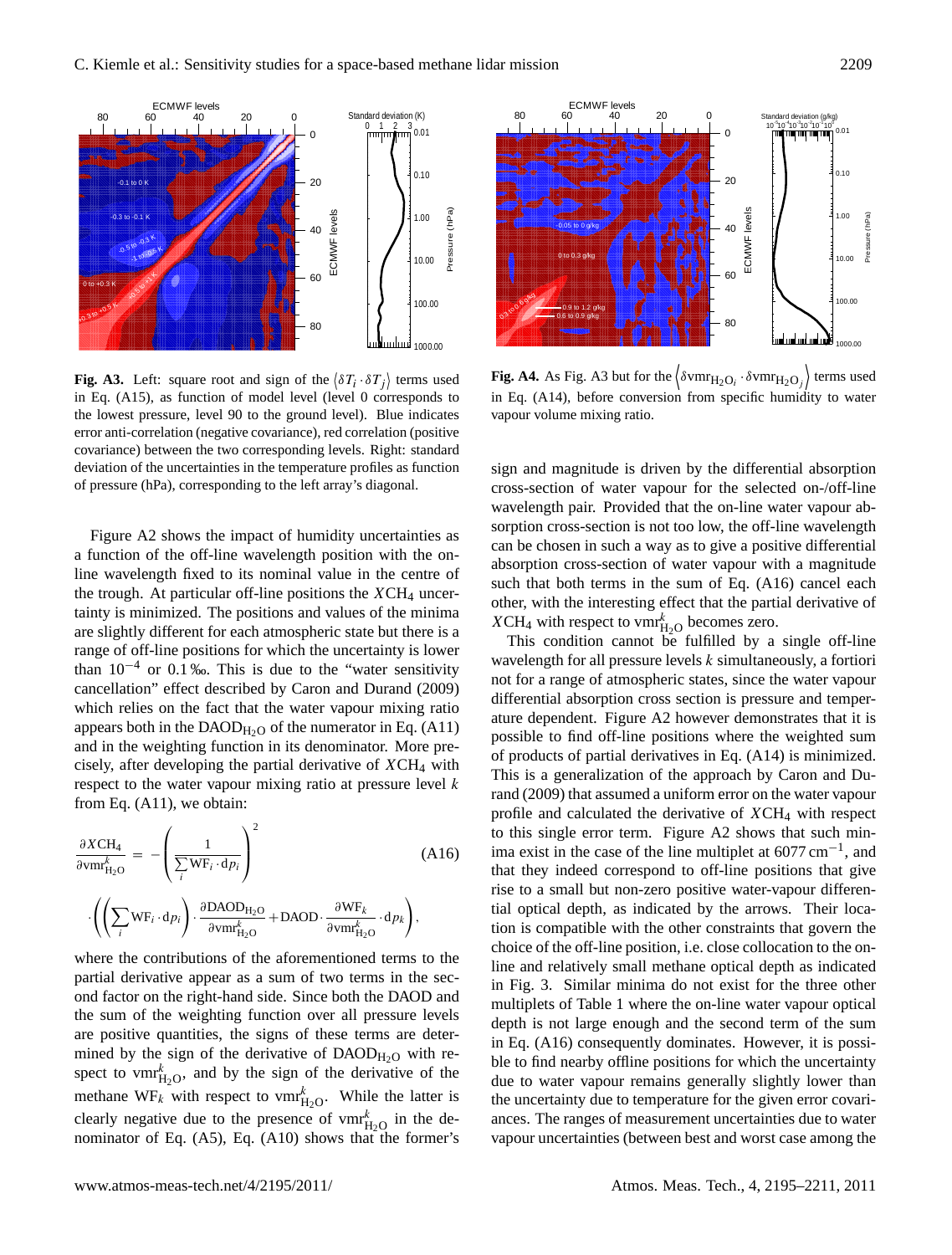

**Fig. A3.** Left: square root and sign of the  $\langle \delta T_i \cdot \delta T_j \rangle$  terms used in Eq. (A15), as function of model level (level 0 corresponds to the lowest pressure, level 90 to the ground level). Blue indicates error anti-correlation (negative covariance), red correlation (positive covariance) between the two corresponding levels. Right: standard deviation of the uncertainties in the temperature profiles as function of pressure (hPa), corresponding to the left array's diagonal.

Figure A2 shows the impact of humidity uncertainties as a function of the off-line wavelength position with the online wavelength fixed to its nominal value in the centre of the trough. At particular off-line positions the  $XCH<sub>4</sub>$  uncertainty is minimized. The positions and values of the minima are slightly different for each atmospheric state but there is a range of off-line positions for which the uncertainty is lower than  $10^{-4}$  or 0.1 ‰. This is due to the "water sensitivity cancellation" effect described by Caron and Durand (2009) which relies on the fact that the water vapour mixing ratio appears both in the  $D AOD_{H_2O}$  of the numerator in Eq. (A11) and in the weighting function in its denominator. More precisely, after developing the partial derivative of  $XCH<sub>4</sub>$  with respect to the water vapour mixing ratio at pressure level k from Eq. (A11), we obtain:

$$
\frac{\partial XCH_4}{\partial \text{vmr}_{H_2O}^k} = -\left(\frac{1}{\sum_{i} WF_i \cdot dp_i}\right)^2 \qquad (A16)
$$

$$
\cdot \left(\left(\sum_{i} WF_i \cdot dp_i\right) \cdot \frac{\partial DAOD_{H_2O}}{\partial \text{vmr}_{H_2O}^k} + DAOD \cdot \frac{\partial WF_k}{\partial \text{vmr}_{H_2O}^k} \cdot dp_k\right),
$$

where the contributions of the aforementioned terms to the partial derivative appear as a sum of two terms in the second factor on the right-hand side. Since both the DAOD and the sum of the weighting function over all pressure levels are positive quantities, the signs of these terms are determined by the sign of the derivative of  $D A O D_{H<sub>2</sub>}$  with respect to vm $r_{H_2O}^k$ , and by the sign of the derivative of the methane  $WF_k$  with respect to vm $r_{H_2O}^k$ . While the latter is clearly negative due to the presence of  $\text{vm}_{H_2O}^k$  in the denominator of Eq. (A5), Eq. (A10) shows that the former's



**Fig. A4.** As Fig. A3 but for the  $\left\{\delta \text{vmr}_{H_2O_i} \cdot \delta \text{vmr}_{H_2O_j}\right\}$  terms used in Eq. (A14), before conversion from specific humidity to water vapour volume mixing ratio.

sign and magnitude is driven by the differential absorption cross-section of water vapour for the selected on-/off-line wavelength pair. Provided that the on-line water vapour absorption cross-section is not too low, the off-line wavelength can be chosen in such a way as to give a positive differential absorption cross-section of water vapour with a magnitude such that both terms in the sum of Eq. (A16) cancel each other, with the interesting effect that the partial derivative of  $XCH_4$  with respect to vm $_{H_2O}^{k}$  becomes zero.

This condition cannot be fulfilled by a single off-line wavelength for all pressure levels k simultaneously, a fortiori not for a range of atmospheric states, since the water vapour differential absorption cross section is pressure and temperature dependent. Figure A2 however demonstrates that it is possible to find off-line positions where the weighted sum of products of partial derivatives in Eq. (A14) is minimized. This is a generalization of the approach by Caron and Durand (2009) that assumed a uniform error on the water vapour profile and calculated the derivative of XCH<sup>4</sup> with respect to this single error term. Figure A2 shows that such minima exist in the case of the line multiplet at  $6077 \text{ cm}^{-1}$ , and that they indeed correspond to off-line positions that give rise to a small but non-zero positive water-vapour differential optical depth, as indicated by the arrows. Their location is compatible with the other constraints that govern the choice of the off-line position, i.e. close collocation to the online and relatively small methane optical depth as indicated in Fig. 3. Similar minima do not exist for the three other multiplets of Table 1 where the on-line water vapour optical depth is not large enough and the second term of the sum in Eq. (A16) consequently dominates. However, it is possible to find nearby offline positions for which the uncertainty due to water vapour remains generally slightly lower than the uncertainty due to temperature for the given error covariances. The ranges of measurement uncertainties due to water vapour uncertainties (between best and worst case among the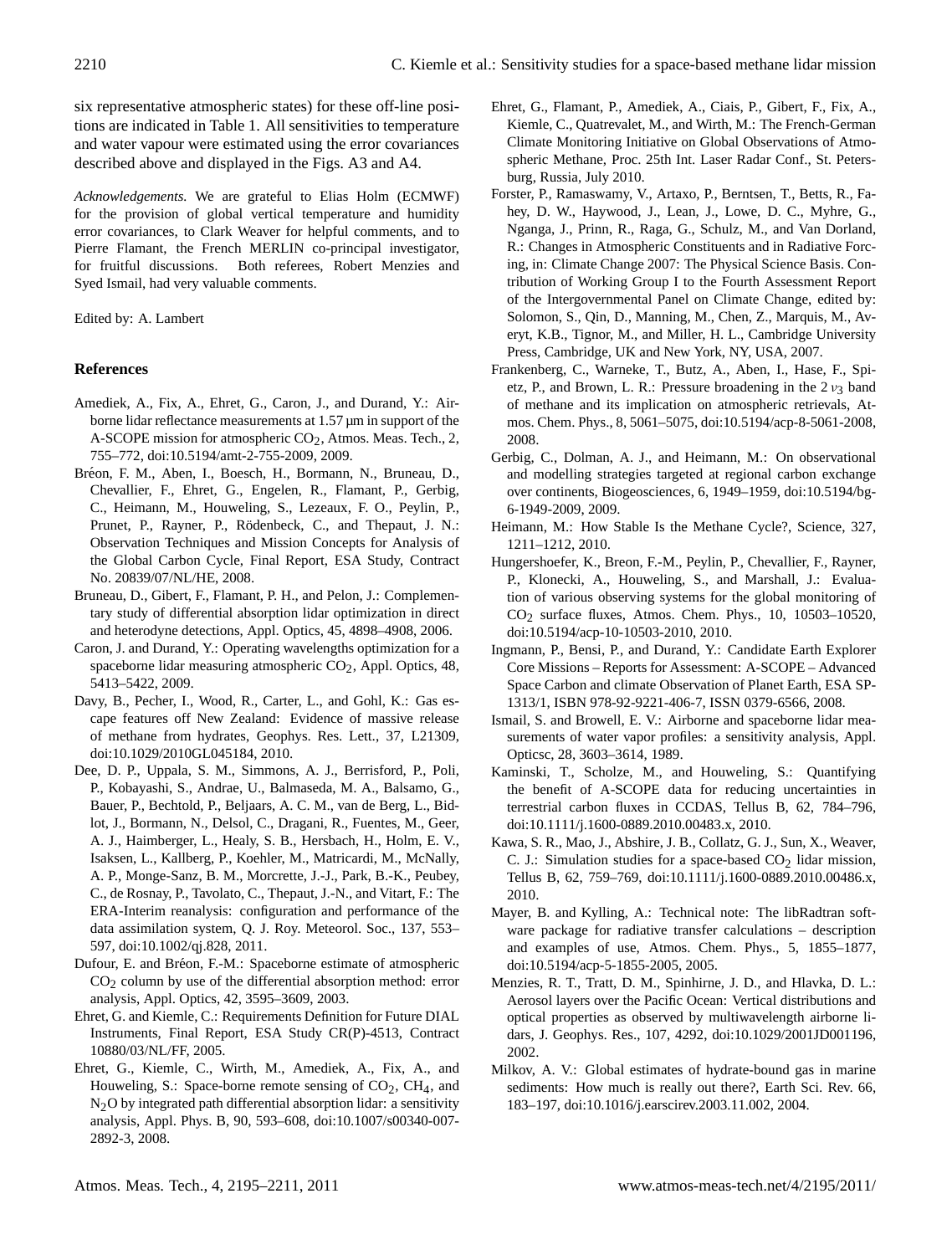six representative atmospheric states) for these off-line positions are indicated in Table 1. All sensitivities to temperature and water vapour were estimated using the error covariances described above and displayed in the Figs. A3 and A4.

*Acknowledgements.* We are grateful to Elias Holm (ECMWF) for the provision of global vertical temperature and humidity error covariances, to Clark Weaver for helpful comments, and to Pierre Flamant, the French MERLIN co-principal investigator, for fruitful discussions. Both referees, Robert Menzies and Syed Ismail, had very valuable comments.

Edited by: A. Lambert

## **References**

- Amediek, A., Fix, A., Ehret, G., Caron, J., and Durand, Y.: Airborne lidar reflectance measurements at 1.57 µm in support of the A-SCOPE mission for atmospheric  $CO<sub>2</sub>$ , Atmos. Meas. Tech., 2, 755–772, [doi:10.5194/amt-2-755-2009,](http://dx.doi.org/10.5194/amt-2-755-2009) 2009.
- Bréon, F. M., Aben, I., Boesch, H., Bormann, N., Bruneau, D., Chevallier, F., Ehret, G., Engelen, R., Flamant, P., Gerbig, C., Heimann, M., Houweling, S., Lezeaux, F. O., Peylin, P., Prunet, P., Rayner, P., Rödenbeck, C., and Thepaut, J. N.: Observation Techniques and Mission Concepts for Analysis of the Global Carbon Cycle, Final Report, ESA Study, Contract No. 20839/07/NL/HE, 2008.
- Bruneau, D., Gibert, F., Flamant, P. H., and Pelon, J.: Complementary study of differential absorption lidar optimization in direct and heterodyne detections, Appl. Optics, 45, 4898–4908, 2006.
- Caron, J. and Durand, Y.: Operating wavelengths optimization for a spaceborne lidar measuring atmospheric  $CO<sub>2</sub>$ , Appl. Optics, 48, 5413–5422, 2009.
- Davy, B., Pecher, I., Wood, R., Carter, L., and Gohl, K.: Gas escape features off New Zealand: Evidence of massive release of methane from hydrates, Geophys. Res. Lett., 37, L21309, [doi:10.1029/2010GL045184,](http://dx.doi.org/10.1029/2010GL045184) 2010.
- Dee, D. P., Uppala, S. M., Simmons, A. J., Berrisford, P., Poli, P., Kobayashi, S., Andrae, U., Balmaseda, M. A., Balsamo, G., Bauer, P., Bechtold, P., Beljaars, A. C. M., van de Berg, L., Bidlot, J., Bormann, N., Delsol, C., Dragani, R., Fuentes, M., Geer, A. J., Haimberger, L., Healy, S. B., Hersbach, H., Holm, E. V., Isaksen, L., Kallberg, P., Koehler, M., Matricardi, M., McNally, A. P., Monge-Sanz, B. M., Morcrette, J.-J., Park, B.-K., Peubey, C., de Rosnay, P., Tavolato, C., Thepaut, J.-N., and Vitart, F.: The ERA-Interim reanalysis: configuration and performance of the data assimilation system, Q. J. Roy. Meteorol. Soc., 137, 553– 597, [doi:10.1002/qj.828,](http://dx.doi.org/10.1002/qj.828) 2011.
- Dufour, E. and Bréon, F.-M.: Spaceborne estimate of atmospheric  $CO<sub>2</sub>$  column by use of the differential absorption method: error analysis, Appl. Optics, 42, 3595–3609, 2003.
- Ehret, G. and Kiemle, C.: Requirements Definition for Future DIAL Instruments, Final Report, ESA Study CR(P)-4513, Contract 10880/03/NL/FF, 2005.
- Ehret, G., Kiemle, C., Wirth, M., Amediek, A., Fix, A., and Houweling, S.: Space-borne remote sensing of  $CO<sub>2</sub>$ , CH<sub>4</sub>, and  $N<sub>2</sub>O$  by integrated path differential absorption lidar: a sensitivity analysis, Appl. Phys. B, 90, 593–608, [doi:10.1007/s00340-007-](http://dx.doi.org/10.1007/s00340-007-2892-3) [2892-3,](http://dx.doi.org/10.1007/s00340-007-2892-3) 2008.
- Ehret, G., Flamant, P., Amediek, A., Ciais, P., Gibert, F., Fix, A., Kiemle, C., Quatrevalet, M., and Wirth, M.: The French-German Climate Monitoring Initiative on Global Observations of Atmospheric Methane, Proc. 25th Int. Laser Radar Conf., St. Petersburg, Russia, July 2010.
- Forster, P., Ramaswamy, V., Artaxo, P., Berntsen, T., Betts, R., Fahey, D. W., Haywood, J., Lean, J., Lowe, D. C., Myhre, G., Nganga, J., Prinn, R., Raga, G., Schulz, M., and Van Dorland, R.: Changes in Atmospheric Constituents and in Radiative Forcing, in: Climate Change 2007: The Physical Science Basis. Contribution of Working Group I to the Fourth Assessment Report of the Intergovernmental Panel on Climate Change, edited by: Solomon, S., Qin, D., Manning, M., Chen, Z., Marquis, M., Averyt, K.B., Tignor, M., and Miller, H. L., Cambridge University Press, Cambridge, UK and New York, NY, USA, 2007.
- Frankenberg, C., Warneke, T., Butz, A., Aben, I., Hase, F., Spietz, P., and Brown, L. R.: Pressure broadening in the  $2\nu_3$  band of methane and its implication on atmospheric retrievals, Atmos. Chem. Phys., 8, 5061–5075, [doi:10.5194/acp-8-5061-2008,](http://dx.doi.org/10.5194/acp-8-5061-2008) 2008.
- Gerbig, C., Dolman, A. J., and Heimann, M.: On observational and modelling strategies targeted at regional carbon exchange over continents, Biogeosciences, 6, 1949–1959, [doi:10.5194/bg-](http://dx.doi.org/10.5194/bg-6-1949-2009)[6-1949-2009,](http://dx.doi.org/10.5194/bg-6-1949-2009) 2009.
- Heimann, M.: How Stable Is the Methane Cycle?, Science, 327, 1211–1212, 2010.
- Hungershoefer, K., Breon, F.-M., Peylin, P., Chevallier, F., Rayner, P., Klonecki, A., Houweling, S., and Marshall, J.: Evaluation of various observing systems for the global monitoring of CO2 surface fluxes, Atmos. Chem. Phys., 10, 10503–10520, [doi:10.5194/acp-10-10503-2010,](http://dx.doi.org/10.5194/acp-10-10503-2010) 2010.
- Ingmann, P., Bensi, P., and Durand, Y.: Candidate Earth Explorer Core Missions – Reports for Assessment: A-SCOPE – Advanced Space Carbon and climate Observation of Planet Earth, ESA SP-1313/1, ISBN 978-92-9221-406-7, ISSN 0379-6566, 2008.
- Ismail, S. and Browell, E. V.: Airborne and spaceborne lidar measurements of water vapor profiles: a sensitivity analysis, Appl. Opticsc, 28, 3603–3614, 1989.
- Kaminski, T., Scholze, M., and Houweling, S.: Quantifying the benefit of A-SCOPE data for reducing uncertainties in terrestrial carbon fluxes in CCDAS, Tellus B, 62, 784–796, [doi:10.1111/j.1600-0889.2010.00483.x,](http://dx.doi.org/10.1111/j.1600-0889.2010.00483.x) 2010.
- Kawa, S. R., Mao, J., Abshire, J. B., Collatz, G. J., Sun, X., Weaver, C. J.: Simulation studies for a space-based  $CO<sub>2</sub>$  lidar mission, Tellus B, 62, 759–769, [doi:10.1111/j.1600-0889.2010.00486.x,](http://dx.doi.org/10.1111/j.1600-0889.2010.00486.x) 2010.
- Mayer, B. and Kylling, A.: Technical note: The libRadtran software package for radiative transfer calculations – description and examples of use, Atmos. Chem. Phys., 5, 1855–1877, [doi:10.5194/acp-5-1855-2005,](http://dx.doi.org/10.5194/acp-5-1855-2005) 2005.
- Menzies, R. T., Tratt, D. M., Spinhirne, J. D., and Hlavka, D. L.: Aerosol layers over the Pacific Ocean: Vertical distributions and optical properties as observed by multiwavelength airborne lidars, J. Geophys. Res., 107, 4292, [doi:10.1029/2001JD001196,](http://dx.doi.org/10.1029/2001JD001196) 2002.
- Milkov, A. V.: Global estimates of hydrate-bound gas in marine sediments: How much is really out there?, Earth Sci. Rev. 66, 183–197, [doi:10.1016/j.earscirev.2003.11.002,](http://dx.doi.org/10.1016/j.earscirev.2003.11.002) 2004.